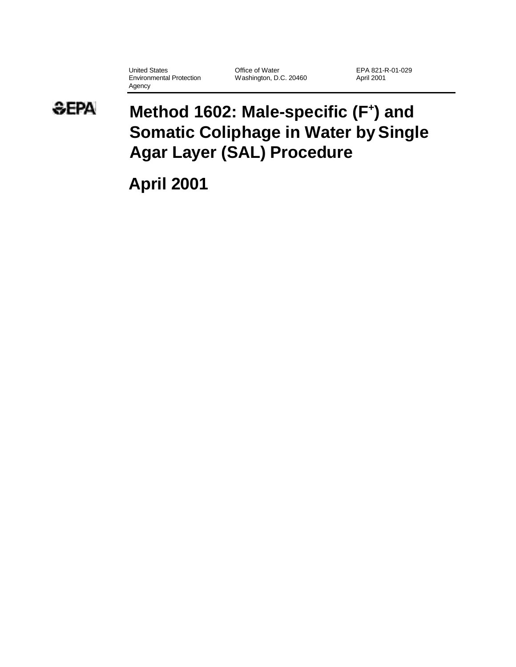United States Environmental Protection Agency

Office of Water Washington, D.C. 20460 EPA 821-R-01-029 April 2001

## **&EPA**

# **Method 1602: Male-specific (F<sup>+</sup> ) and Somatic Coliphage in Water by Single Agar Layer (SAL) Procedure**

**April 2001**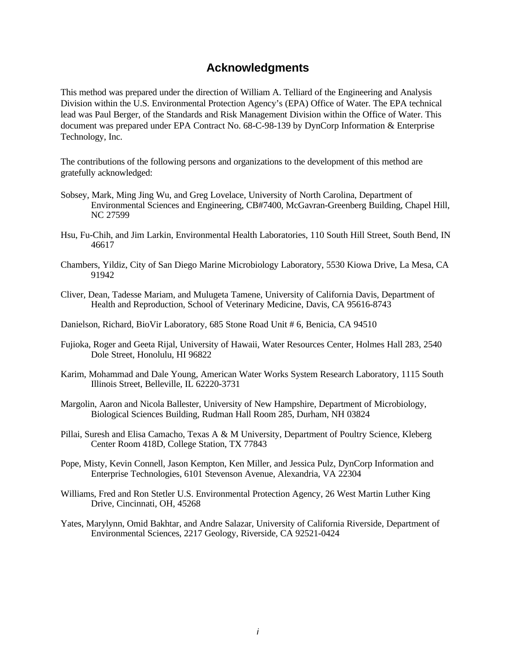### **Acknowledgments**

This method was prepared under the direction of William A. Telliard of the Engineering and Analysis Division within the U.S. Environmental Protection Agency's (EPA) Office of Water. The EPA technical lead was Paul Berger, of the Standards and Risk Management Division within the Office of Water. This document was prepared under EPA Contract No. 68-C-98-139 by DynCorp Information & Enterprise Technology, Inc.

The contributions of the following persons and organizations to the development of this method are gratefully acknowledged:

- Sobsey, Mark, Ming Jing Wu, and Greg Lovelace, University of North Carolina, Department of Environmental Sciences and Engineering, CB#7400, McGavran-Greenberg Building, Chapel Hill, NC 27599
- Hsu, Fu-Chih, and Jim Larkin, Environmental Health Laboratories, 110 South Hill Street, South Bend, IN 46617
- Chambers, Yildiz, City of San Diego Marine Microbiology Laboratory, 5530 Kiowa Drive, La Mesa, CA 91942
- Cliver, Dean, Tadesse Mariam, and Mulugeta Tamene, University of California Davis, Department of Health and Reproduction, School of Veterinary Medicine, Davis, CA 95616-8743

Danielson, Richard, BioVir Laboratory, 685 Stone Road Unit # 6, Benicia, CA 94510

- Fujioka, Roger and Geeta Rijal, University of Hawaii, Water Resources Center, Holmes Hall 283, 2540 Dole Street, Honolulu, HI 96822
- Karim, Mohammad and Dale Young, American Water Works System Research Laboratory, 1115 South Illinois Street, Belleville, IL 62220-3731
- Margolin, Aaron and Nicola Ballester, University of New Hampshire, Department of Microbiology, Biological Sciences Building, Rudman Hall Room 285, Durham, NH 03824
- Pillai, Suresh and Elisa Camacho, Texas A & M University, Department of Poultry Science, Kleberg Center Room 418D, College Station, TX 77843
- Pope, Misty, Kevin Connell, Jason Kempton, Ken Miller, and Jessica Pulz, DynCorp Information and Enterprise Technologies, 6101 Stevenson Avenue, Alexandria, VA 22304
- Williams, Fred and Ron Stetler U.S. Environmental Protection Agency, 26 West Martin Luther King Drive, Cincinnati, OH, 45268
- Yates, Marylynn, Omid Bakhtar, and Andre Salazar, University of California Riverside, Department of Environmental Sciences, 2217 Geology, Riverside, CA 92521-0424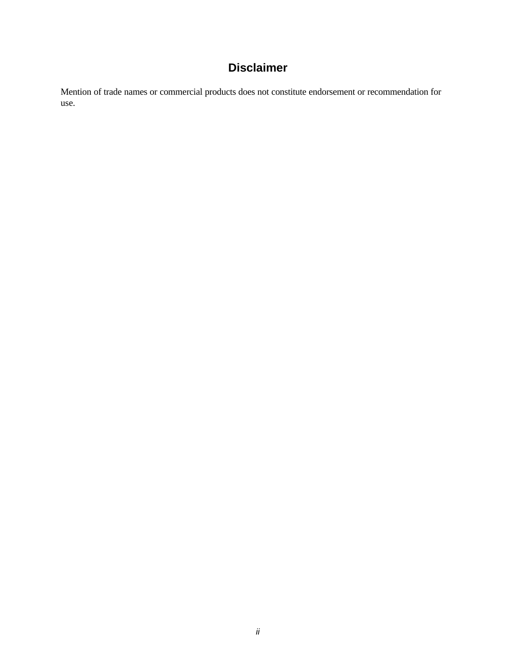## **Disclaimer**

Mention of trade names or commercial products does not constitute endorsement or recommendation for use.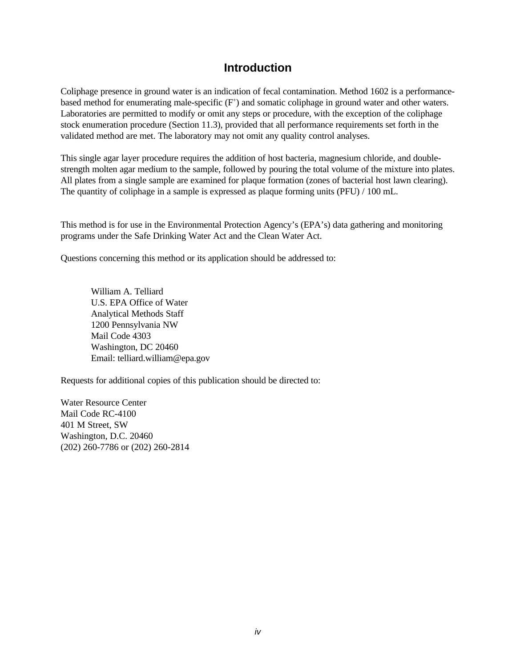### **Introduction**

Coliphage presence in ground water is an indication of fecal contamination. Method 1602 is a performancebased method for enumerating male-specific  $(F^+)$  and somatic coliphage in ground water and other waters. Laboratories are permitted to modify or omit any steps or procedure, with the exception of the coliphage stock enumeration procedure (Section 11.3), provided that all performance requirements set forth in the validated method are met. The laboratory may not omit any quality control analyses.

This single agar layer procedure requires the addition of host bacteria, magnesium chloride, and doublestrength molten agar medium to the sample, followed by pouring the total volume of the mixture into plates. All plates from a single sample are examined for plaque formation (zones of bacterial host lawn clearing). The quantity of coliphage in a sample is expressed as plaque forming units (PFU) / 100 mL.

This method is for use in the Environmental Protection Agency's (EPA's) data gathering and monitoring programs under the Safe Drinking Water Act and the Clean Water Act.

Questions concerning this method or its application should be addressed to:

William A. Telliard U.S. EPA Office of Water Analytical Methods Staff 1200 Pennsylvania NW Mail Code 4303 Washington, DC 20460 Email: telliard.william@epa.gov

Requests for additional copies of this publication should be directed to:

Water Resource Center Mail Code RC-4100 401 M Street, SW Washington, D.C. 20460 (202) 260-7786 or (202) 260-2814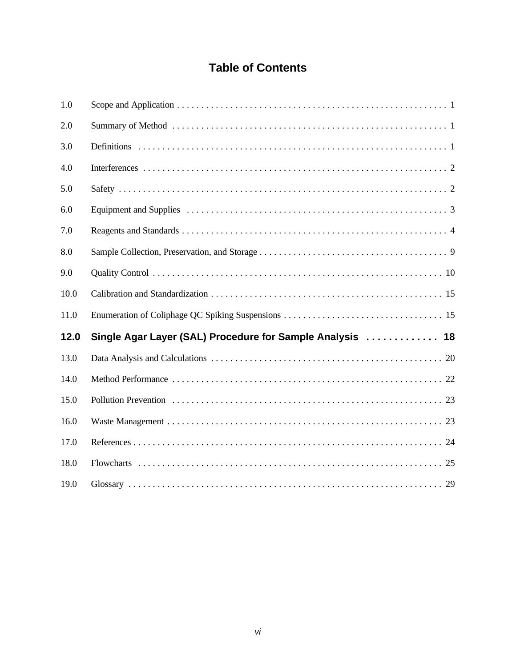## **Table of Contents**

| 1.0  |                                                           |
|------|-----------------------------------------------------------|
| 2.0  |                                                           |
| 3.0  |                                                           |
| 4.0  |                                                           |
| 5.0  |                                                           |
| 6.0  |                                                           |
| 7.0  |                                                           |
| 8.0  |                                                           |
| 9.0  |                                                           |
| 10.0 |                                                           |
| 11.0 |                                                           |
| 12.0 | Single Agar Layer (SAL) Procedure for Sample Analysis  18 |
| 13.0 |                                                           |
| 14.0 |                                                           |
| 15.0 |                                                           |
| 16.0 |                                                           |
| 17.0 |                                                           |
| 18.0 |                                                           |
| 19.0 |                                                           |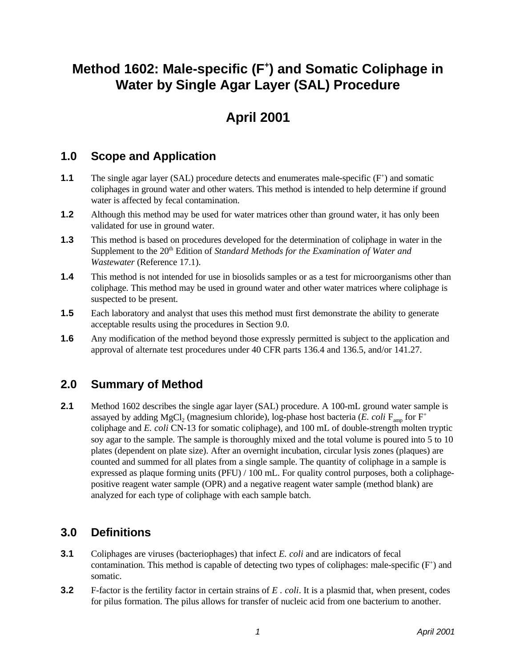## <span id="page-8-0"></span>Method 1602: Male-specific (F<sup>+</sup>) and Somatic Coliphage in **Water by Single Agar Layer (SAL) Procedure**

## **April 2001**

### **1.0 Scope and Application**

- **1.1** The single agar layer (SAL) procedure detects and enumerates male-specific (F<sup>+</sup>) and somatic coliphages in ground water and other waters. This method is intended to help determine if ground water is affected by fecal contamination.
- **1.2** Although this method may be used for water matrices other than ground water, it has only been validated for use in ground water.
- **1.3** This method is based on procedures developed for the determination of coliphage in water in the Supplement to the 20<sup>th</sup> Edition of *Standard Methods for the Examination of Water and Wastewater* (Reference 17.1).
- **1.4** This method is not intended for use in biosolids samples or as a test for microorganisms other than coliphage. This method may be used in ground water and other water matrices where coliphage is suspected to be present.
- **1.5** Each laboratory and analyst that uses this method must first demonstrate the ability to generate acceptable results using the procedures in Section 9.0.
- **1.6** Any modification of the method beyond those expressly permitted is subject to the application and approval of alternate test procedures under 40 CFR parts 136.4 and 136.5, and/or 141.27.

### **2.0 Summary of Method**

**2.1** Method 1602 describes the single agar layer (SAL) procedure. A 100-mL ground water sample is assayed by adding MgCl<sub>2</sub> (magnesium chloride), log-phase host bacteria (*E. coli*  $F_{\text{ann}}$  for  $F^+$ coliphage and *E. coli* CN-13 for somatic coliphage), and 100 mL of double-strength molten tryptic soy agar to the sample. The sample is thoroughly mixed and the total volume is poured into 5 to 10 plates (dependent on plate size). After an overnight incubation, circular lysis zones (plaques) are counted and summed for all plates from a single sample. The quantity of coliphage in a sample is expressed as plaque forming units (PFU) / 100 mL. For quality control purposes, both a coliphagepositive reagent water sample (OPR) and a negative reagent water sample (method blank) are analyzed for each type of coliphage with each sample batch.

### **3.0 Definitions**

- **3.1** Coliphages are viruses (bacteriophages) that infect *E. coli* and are indicators of fecal contamination. This method is capable of detecting two types of coliphages: male-specific (F<sup>+</sup>) and somatic.
- **3.2** F-factor is the fertility factor in certain strains of *E* . *coli*. It is a plasmid that, when present, codes for pilus formation. The pilus allows for transfer of nucleic acid from one bacterium to another.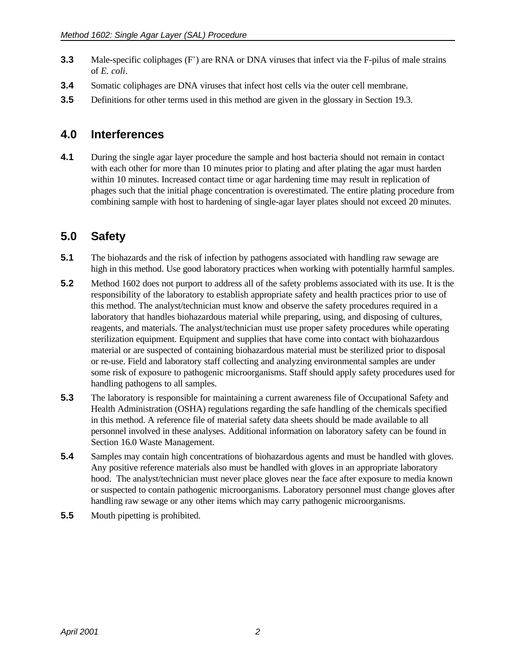- <span id="page-9-0"></span>**3.3** Male-specific coliphages (F<sup>+</sup>) are RNA or DNA viruses that infect via the F-pilus of male strains of *E. coli*.
- **3.4** Somatic coliphages are DNA viruses that infect host cells via the outer cell membrane.
- **3.5** Definitions for other terms used in this method are given in the glossary in Section 19.3.

#### **4.0 Interferences**

**4.1** During the single agar layer procedure the sample and host bacteria should not remain in contact with each other for more than 10 minutes prior to plating and after plating the agar must harden within 10 minutes. Increased contact time or agar hardening time may result in replication of phages such that the initial phage concentration is overestimated. The entire plating procedure from combining sample with host to hardening of single-agar layer plates should not exceed 20 minutes.

### **5.0 Safety**

- **5.1** The biohazards and the risk of infection by pathogens associated with handling raw sewage are high in this method. Use good laboratory practices when working with potentially harmful samples.
- **5.2** Method 1602 does not purport to address all of the safety problems associated with its use. It is the responsibility of the laboratory to establish appropriate safety and health practices prior to use of this method. The analyst/technician must know and observe the safety procedures required in a laboratory that handles biohazardous material while preparing, using, and disposing of cultures, reagents, and materials. The analyst/technician must use proper safety procedures while operating sterilization equipment. Equipment and supplies that have come into contact with biohazardous material or are suspected of containing biohazardous material must be sterilized prior to disposal or re-use. Field and laboratory staff collecting and analyzing environmental samples are under some risk of exposure to pathogenic microorganisms. Staff should apply safety procedures used for handling pathogens to all samples.
- **5.3** The laboratory is responsible for maintaining a current awareness file of Occupational Safety and Health Administration (OSHA) regulations regarding the safe handling of the chemicals specified in this method. A reference file of material safety data sheets should be made available to all personnel involved in these analyses. Additional information on laboratory safety can be found in Section 16.0 Waste Management.
- **5.4** Samples may contain high concentrations of biohazardous agents and must be handled with gloves. Any positive reference materials also must be handled with gloves in an appropriate laboratory hood. The analyst/technician must never place gloves near the face after exposure to media known or suspected to contain pathogenic microorganisms. Laboratory personnel must change gloves after handling raw sewage or any other items which may carry pathogenic microorganisms.
- **5.5** Mouth pipetting is prohibited.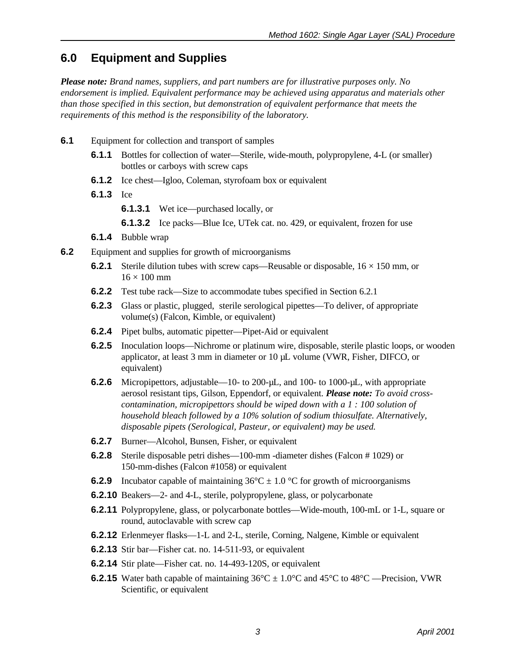### <span id="page-10-0"></span>**6.0 Equipment and Supplies**

*Please note: Brand names, suppliers, and part numbers are for illustrative purposes only. No endorsement is implied. Equivalent performance may be achieved using apparatus and materials other than those specified in this section, but demonstration of equivalent performance that meets the requirements of this method is the responsibility of the laboratory.* 

- **6.1** Equipment for collection and transport of samples
	- **6.1.1** Bottles for collection of water—Sterile, wide-mouth, polypropylene, 4-L (or smaller) bottles or carboys with screw caps
	- **6.1.2** Ice chest—Igloo, Coleman, styrofoam box or equivalent
	- **6.1.3** Ice
		- **6.1.3.1** Wet ice—purchased locally, or
		- **6.1.3.2** Ice packs—Blue Ice, UTek cat. no. 429, or equivalent, frozen for use
	- **6.1.4** Bubble wrap
- **6.2** Equipment and supplies for growth of microorganisms
	- **6.2.1** Sterile dilution tubes with screw caps—Reusable or disposable,  $16 \times 150$  mm, or  $16 \times 100$  mm
	- **6.2.2** Test tube rack—Size to accommodate tubes specified in Section 6.2.1
	- **6.2.3** Glass or plastic, plugged, sterile serological pipettes—To deliver, of appropriate volume(s) (Falcon, Kimble, or equivalent)
	- **6.2.4** Pipet bulbs, automatic pipetter—Pipet-Aid or equivalent
	- **6.2.5** Inoculation loops—Nichrome or platinum wire, disposable, sterile plastic loops, or wooden applicator, at least 3 mm in diameter or 10 µL volume (VWR, Fisher, DIFCO, or equivalent)
	- **6.2.6** Micropipettors, adjustable—10- to 200-µL, and 100- to 1000-µL, with appropriate aerosol resistant tips, Gilson, Eppendorf, or equivalent. *Please note: To avoid crosscontamination, micropipettors should be wiped down with a 1 : 100 solution of household bleach followed by a 10% solution of sodium thiosulfate. Alternatively, disposable pipets (Serological, Pasteur, or equivalent) may be used.*
	- **6.2.7** Burner—Alcohol, Bunsen, Fisher, or equivalent
	- **6.2.8** Sterile disposable petri dishes—100-mm -diameter dishes (Falcon # 1029) or 150-mm-dishes (Falcon #1058) or equivalent
	- **6.2.9** Incubator capable of maintaining  $36^{\circ}\text{C} \pm 1.0^{\circ}\text{C}$  for growth of microorganisms
	- **6.2.10** Beakers—2- and 4-L, sterile, polypropylene, glass, or polycarbonate
	- **6.2.11** Polypropylene, glass, or polycarbonate bottles—Wide-mouth, 100-mL or 1-L, square or round, autoclavable with screw cap
	- **6.2.12** Erlenmeyer flasks—1-L and 2-L, sterile, Corning, Nalgene, Kimble or equivalent
	- **6.2.13** Stir bar—Fisher cat. no. 14-511-93, or equivalent
	- **6.2.14** Stir plate—Fisher cat. no. 14-493-120S, or equivalent
	- **6.2.15** Water bath capable of maintaining  $36^{\circ}C \pm 1.0^{\circ}C$  and  $45^{\circ}C$  to  $48^{\circ}C$  —Precision, VWR Scientific, or equivalent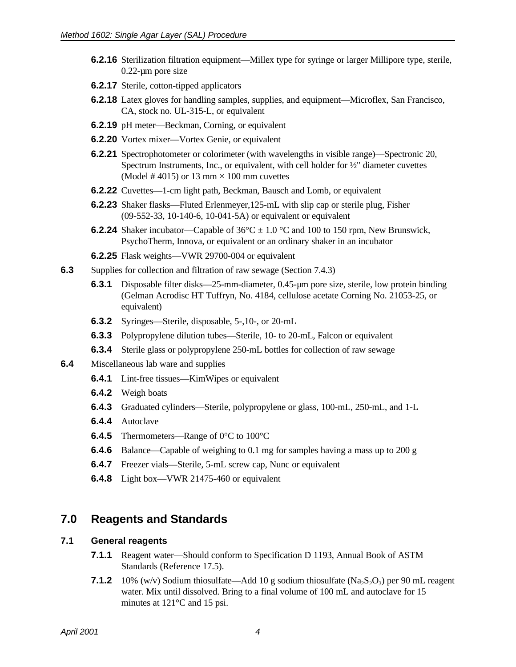- <span id="page-11-0"></span>**6.2.16** Sterilization filtration equipment—Millex type for syringe or larger Millipore type, sterile, 0.22-µm pore size
- **6.2.17** Sterile, cotton-tipped applicators
- **6.2.18** Latex gloves for handling samples, supplies, and equipment—Microflex, San Francisco, CA, stock no. UL-315-L, or equivalent
- **6.2.19** pH meter—Beckman, Corning, or equivalent
- **6.2.20** Vortex mixer—Vortex Genie, or equivalent
- **6.2.21** Spectrophotometer or colorimeter (with wavelengths in visible range)—Spectronic 20, Spectrum Instruments, Inc., or equivalent, with cell holder for ½" diameter cuvettes (Model # 4015) or 13 mm  $\times$  100 mm cuvettes
- **6.2.22** Cuvettes—1-cm light path, Beckman, Bausch and Lomb, or equivalent
- **6.2.23** Shaker flasks—Fluted Erlenmeyer,125-mL with slip cap or sterile plug, Fisher (09-552-33, 10-140-6, 10-041-5A) or equivalent or equivalent
- **6.2.24** Shaker incubator—Capable of  $36^{\circ}C \pm 1.0^{\circ}C$  and 100 to 150 rpm, New Brunswick, PsychoTherm, Innova, or equivalent or an ordinary shaker in an incubator
- **6.2.25** Flask weights—VWR 29700-004 or equivalent
- **6.3** Supplies for collection and filtration of raw sewage (Section 7.4.3)
	- **6.3.1** Disposable filter disks—25-mm-diameter, 0.45-µm pore size, sterile, low protein binding (Gelman Acrodisc HT Tuffryn, No. 4184, cellulose acetate Corning No. 21053-25, or equivalent)
	- **6.3.2** Syringes—Sterile, disposable, 5-,10-, or 20-mL
	- **6.3.3** Polypropylene dilution tubes—Sterile, 10- to 20-mL, Falcon or equivalent
	- **6.3.4** Sterile glass or polypropylene 250-mL bottles for collection of raw sewage
- **6.4** Miscellaneous lab ware and supplies
	- **6.4.1** Lint-free tissues—KimWipes or equivalent
	- **6.4.2** Weigh boats
	- **6.4.3** Graduated cylinders—Sterile, polypropylene or glass, 100-mL, 250-mL, and 1-L
	- **6.4.4** Autoclave
	- **6.4.5** Thermometers—Range of 0°C to 100°C
	- **6.4.6** Balance—Capable of weighing to 0.1 mg for samples having a mass up to 200 g
	- **6.4.7** Freezer vials—Sterile, 5-mL screw cap, Nunc or equivalent
	- **6.4.8** Light box—VWR 21475-460 or equivalent

#### **7.0 Reagents and Standards**

#### **7.1 General reagents**

- **7.1.1** Reagent water—Should conform to Specification D 1193, Annual Book of ASTM Standards (Reference 17.5).
- **7.1.2** 10% (w/v) Sodium thiosulfate—Add 10 g sodium thiosulfate (Na<sub>2</sub>S<sub>2</sub>O<sub>3</sub>) per 90 mL reagent water. Mix until dissolved. Bring to a final volume of 100 mL and autoclave for 15 minutes at 121°C and 15 psi.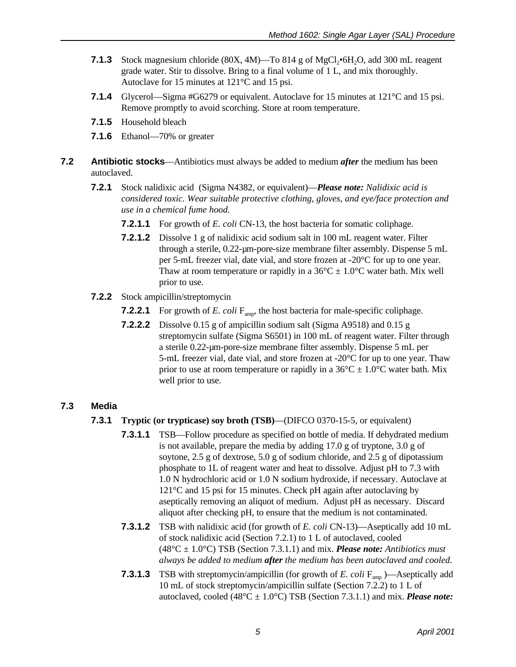- **7.1.3** Stock magnesium chloride (80X, 4M)—To 814 g of MgCl<sub>2</sub>•6H<sub>2</sub>O, add 300 mL reagent grade water. Stir to dissolve. Bring to a final volume of 1 L, and mix thoroughly. Autoclave for 15 minutes at 121°C and 15 psi.
- **7.1.4** Glycerol—Sigma #G6279 or equivalent. Autoclave for 15 minutes at 121°C and 15 psi. Remove promptly to avoid scorching. Store at room temperature.
- **7.1.5** Household bleach
- **7.1.6** Ethanol—70% or greater
- **7.2 Antibiotic stocks**—Antibiotics must always be added to medium *after* the medium has been autoclaved.
	- **7.2.1** Stock nalidixic acid (Sigma N4382, or equivalent)—*Please note: Nalidixic acid is considered toxic. Wear suitable protective clothing, gloves, and eye/face protection and use in a chemical fume hood.* 
		- **7.2.1.1** For growth of *E. coli* CN-13, the host bacteria for somatic coliphage.
		- **7.2.1.2** Dissolve 1 g of nalidixic acid sodium salt in 100 mL reagent water. Filter through a sterile, 0.22-µm-pore-size membrane filter assembly. Dispense 5 mL per 5-mL freezer vial, date vial, and store frozen at -20°C for up to one year. Thaw at room temperature or rapidly in a  $36^{\circ}C \pm 1.0^{\circ}C$  water bath. Mix well prior to use.
	- **7.2.2** Stock ampicillin/streptomycin
		- **7.2.2.1** For growth of *E. coli* F<sub>amp</sub>, the host bacteria for male-specific coliphage.
		- **7.2.2.2** Dissolve 0.15 g of ampicillin sodium salt (Sigma A9518) and 0.15 g streptomycin sulfate (Sigma S6501) in 100 mL of reagent water. Filter through a sterile 0.22-µm-pore-size membrane filter assembly. Dispense 5 mL per 5-mL freezer vial, date vial, and store frozen at -20°C for up to one year. Thaw prior to use at room temperature or rapidly in a  $36^{\circ}C \pm 1.0^{\circ}C$  water bath. Mix well prior to use.

#### **7.3 Media**

- **7.3.1 Tryptic (or trypticase) soy broth (TSB)**—(DIFCO 0370-15-5, or equivalent)
	- **7.3.1.1** TSB—Follow procedure as specified on bottle of media. If dehydrated medium is not available, prepare the media by adding 17.0 g of tryptone, 3.0 g of soytone, 2.5 g of dextrose, 5.0 g of sodium chloride, and 2.5 g of dipotassium phosphate to 1L of reagent water and heat to dissolve. Adjust pH to 7.3 with 1.0 N hydrochloric acid or 1.0 N sodium hydroxide, if necessary. Autoclave at 121°C and 15 psi for 15 minutes. Check pH again after autoclaving by aseptically removing an aliquot of medium. Adjust pH as necessary. Discard aliquot after checking pH, to ensure that the medium is not contaminated.
	- **7.3.1.2** TSB with nalidixic acid (for growth of *E. coli* CN-13)—Aseptically add 10 mL of stock nalidixic acid (Section 7.2.1) to 1 L of autoclaved, cooled  $(48^{\circ}\text{C} \pm 1.0^{\circ}\text{C})$  TSB (Section 7.3.1.1) and mix. **Please note:** Antibiotics must *always be added to medium after the medium has been autoclaved and cooled.*
	- **7.3.1.3** TSB with streptomycin/ampicillin (for growth of *E. coli* F<sub>amp</sub> )—Aseptically add 10 mL of stock streptomycin/ampicillin sulfate (Section 7.2.2) to 1 L of autoclaved, cooled  $(48^{\circ}C \pm 1.0^{\circ}C)$  TSB (Section 7.3.1.1) and mix. *Please note:*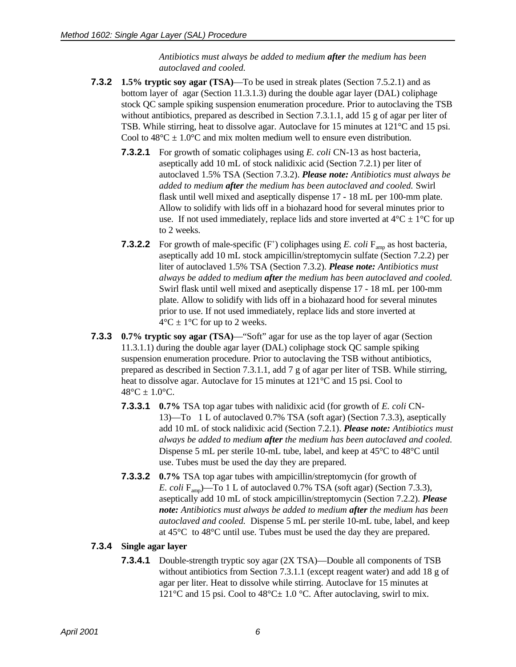*Antibiotics must always be added to medium after the medium has been autoclaved and cooled.* 

- **7.3.2 1.5% tryptic soy agar (TSA)**—To be used in streak plates (Section 7.5.2.1) and as bottom layer of agar (Section 11.3.1.3) during the double agar layer (DAL) coliphage stock QC sample spiking suspension enumeration procedure. Prior to autoclaving the TSB without antibiotics, prepared as described in Section 7.3.1.1, add 15 g of agar per liter of TSB. While stirring, heat to dissolve agar. Autoclave for 15 minutes at 121°C and 15 psi. Cool to  $48^{\circ}$ C  $\pm$  1.0°C and mix molten medium well to ensure even distribution.
	- **7.3.2.1** For growth of somatic coliphages using *E. coli* CN-13 as host bacteria, aseptically add 10 mL of stock nalidixic acid (Section 7.2.1) per liter of autoclaved 1.5% TSA (Section 7.3.2). *Please note: Antibiotics must always be added to medium after the medium has been autoclaved and cooled.* Swirl flask until well mixed and aseptically dispense 17 - 18 mL per 100-mm plate. Allow to solidify with lids off in a biohazard hood for several minutes prior to use. If not used immediately, replace lids and store inverted at  $4^{\circ}C \pm 1^{\circ}C$  for up to 2 weeks.
	- **7.3.2.2** For growth of male-specific  $(F^+)$  coliphages using *E. coli*  $F_{\text{amp}}$  as host bacteria, aseptically add 10 mL stock ampicillin/streptomycin sulfate (Section 7.2.2) per liter of autoclaved 1.5% TSA (Section 7.3.2). *Please note: Antibiotics must always be added to medium after the medium has been autoclaved and cooled.*  Swirl flask until well mixed and aseptically dispense 17 - 18 mL per 100-mm plate. Allow to solidify with lids off in a biohazard hood for several minutes prior to use. If not used immediately, replace lids and store inverted at  $4^{\circ}$ C  $\pm$  1°C for up to 2 weeks.
- **7.3.3 0.7% tryptic soy agar (TSA)**—"Soft" agar for use as the top layer of agar (Section 11.3.1.1) during the double agar layer (DAL) coliphage stock QC sample spiking suspension enumeration procedure. Prior to autoclaving the TSB without antibiotics, prepared as described in Section 7.3.1.1, add 7 g of agar per liter of TSB. While stirring, heat to dissolve agar. Autoclave for 15 minutes at 121°C and 15 psi. Cool to  $48^{\circ}C \pm 1.0^{\circ}C$ .
	- **7.3.3.1 0.7%** TSA top agar tubes with nalidixic acid (for growth of *E. coli* CN-13)—To 1 L of autoclaved 0.7% TSA (soft agar) (Section 7.3.3), aseptically add 10 mL of stock nalidixic acid (Section 7.2.1). *Please note: Antibiotics must always be added to medium after the medium has been autoclaved and cooled.*  Dispense 5 mL per sterile 10-mL tube, label, and keep at 45°C to 48°C until use. Tubes must be used the day they are prepared.
	- **7.3.3.2 0.7%** TSA top agar tubes with ampicillin/streptomycin (for growth of *E. coli* F<sub>amp</sub>)—To 1 L of autoclaved 0.7% TSA (soft agar) (Section 7.3.3), aseptically add 10 mL of stock ampicillin/streptomycin (Section 7.2.2). *Please note: Antibiotics must always be added to medium after the medium has been autoclaved and cooled.* Dispense 5 mL per sterile 10-mL tube, label, and keep at 45°C to 48°C until use. Tubes must be used the day they are prepared.

#### **7.3.4 Single agar layer**

**7.3.4.1** Double-strength tryptic soy agar (2X TSA)—Double all components of TSB without antibiotics from Section 7.3.1.1 (except reagent water) and add 18 g of agar per liter. Heat to dissolve while stirring. Autoclave for 15 minutes at 121 $\degree$ C and 15 psi. Cool to 48 $\degree$ C $\pm$  1.0  $\degree$ C. After autoclaving, swirl to mix.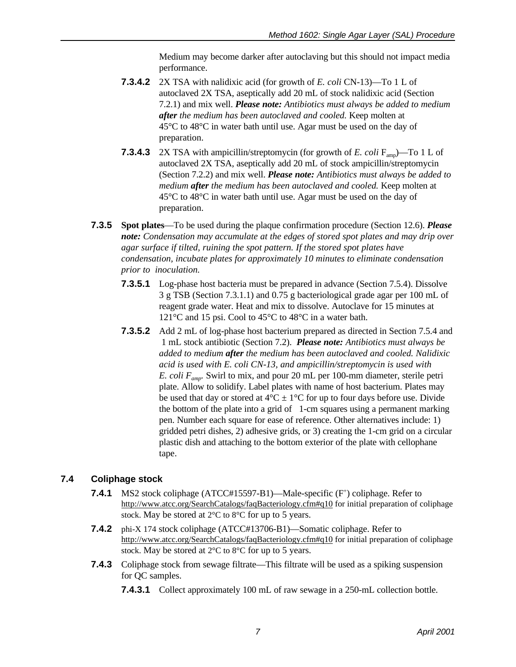Medium may become darker after autoclaving but this should not impact media performance.

- **7.3.4.2** 2X TSA with nalidixic acid (for growth of *E. coli* CN-13)—To 1 L of autoclaved 2X TSA, aseptically add 20 mL of stock nalidixic acid (Section 7.2.1) and mix well. *Please note: Antibiotics must always be added to medium after the medium has been autoclaved and cooled.* Keep molten at 45°C to 48°C in water bath until use. Agar must be used on the day of preparation.
- **7.3.4.3** 2X TSA with ampicillin/streptomycin (for growth of *E. coli* F<sub>amp</sub>)—To 1 L of autoclaved 2X TSA, aseptically add 20 mL of stock ampicillin/streptomycin (Section 7.2.2) and mix well. *Please note: Antibiotics must always be added to medium after the medium has been autoclaved and cooled.* Keep molten at 45°C to 48°C in water bath until use. Agar must be used on the day of preparation.
- **7.3.5 Spot plates**—To be used during the plaque confirmation procedure (Section 12.6). *Please note: Condensation may accumulate at the edges of stored spot plates and may drip over agar surface if tilted, ruining the spot pattern. If the stored spot plates have condensation, incubate plates for approximately 10 minutes to eliminate condensation prior to inoculation.* 
	- **7.3.5.1** Log-phase host bacteria must be prepared in advance (Section 7.5.4). Dissolve 3 g TSB (Section 7.3.1.1) and 0.75 g bacteriological grade agar per 100 mL of reagent grade water. Heat and mix to dissolve. Autoclave for 15 minutes at 121°C and 15 psi. Cool to 45°C to 48°C in a water bath.
	- **7.3.5.2** Add 2 mL of log-phase host bacterium prepared as directed in Section 7.5.4 and 1 mL stock antibiotic (Section 7.2). *Please note: Antibiotics must always be added to medium after the medium has been autoclaved and cooled. Nalidixic acid is used with E. coli CN-13, and ampicillin/streptomycin is used with E. coli Famp.* Swirl to mix, and pour 20 mL per 100-mm diameter, sterile petri plate. Allow to solidify. Label plates with name of host bacterium. Plates may be used that day or stored at  $4^{\circ}C \pm 1^{\circ}C$  for up to four days before use. Divide the bottom of the plate into a grid of 1-cm squares using a permanent marking pen. Number each square for ease of reference. Other alternatives include: 1) gridded petri dishes, 2) adhesive grids, or 3) creating the 1-cm grid on a circular plastic dish and attaching to the bottom exterior of the plate with cellophane tape.

#### **7.4 Coliphage stock**

- **7.4.1** MS2 stock coliphage (ATCC#15597-B1)—Male-specific (F<sup>+</sup>) coliphage. Refer to http://www.atcc.org/SearchCatalogs/faqBacteriology.cfm#q10 for initial preparation of coliphage stock. May be stored at 2°C to 8°C for up to 5 years.
- **7.4.2** phi-X 174 stock coliphage (ATCC#13706-B1)—Somatic coliphage. Refer to http://www.atcc.org/SearchCatalogs/faqBacteriology.cfm#q10 for initial preparation of coliphage stock. May be stored at 2°C to 8°C for up to 5 years.
- **7.4.3** Coliphage stock from sewage filtrate—This filtrate will be used as a spiking suspension for QC samples.
	- **7.4.3.1** Collect approximately 100 mL of raw sewage in a 250-mL collection bottle.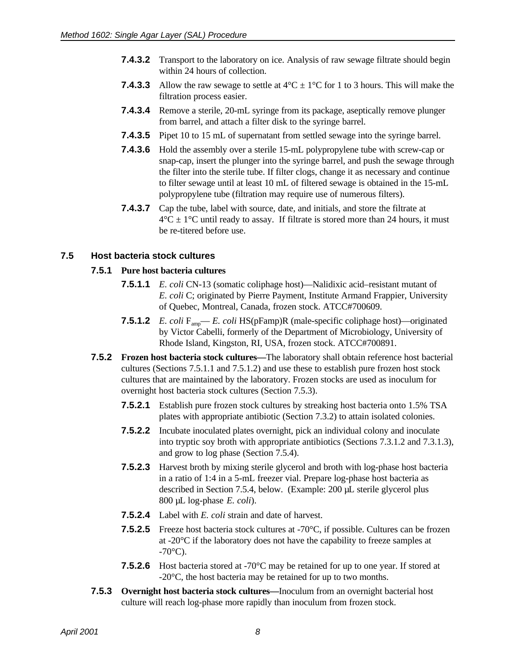- **7.4.3.2** Transport to the laboratory on ice. Analysis of raw sewage filtrate should begin within 24 hours of collection.
- **7.4.3.3** Allow the raw sewage to settle at  $4^{\circ}C \pm 1^{\circ}C$  for 1 to 3 hours. This will make the filtration process easier.
- **7.4.3.4** Remove a sterile, 20-mL syringe from its package, aseptically remove plunger from barrel, and attach a filter disk to the syringe barrel.
- **7.4.3.5** Pipet 10 to 15 mL of supernatant from settled sewage into the syringe barrel.
- **7.4.3.6** Hold the assembly over a sterile 15-mL polypropylene tube with screw-cap or snap-cap, insert the plunger into the syringe barrel, and push the sewage through the filter into the sterile tube. If filter clogs, change it as necessary and continue to filter sewage until at least 10 mL of filtered sewage is obtained in the 15-mL polypropylene tube (filtration may require use of numerous filters).
- **7.4.3.7** Cap the tube, label with source, date, and initials, and store the filtrate at  $4^{\circ}$ C  $\pm$  1<sup>o</sup>C until ready to assay. If filtrate is stored more than 24 hours, it must be re-titered before use.

#### **7.5 Host bacteria stock cultures**

#### **7.5.1 Pure host bacteria cultures**

- **7.5.1.1** *E. coli* CN-13 (somatic coliphage host)—Nalidixic acid–resistant mutant of *E. coli* C; originated by Pierre Payment, Institute Armand Frappier, University of Quebec, Montreal, Canada, frozen stock. ATCC#700609.
- **7.5.1.2** *E. coli* F<sub>amp</sub>— *E. coli* HS(pFamp)R (male-specific coliphage host)—originated by Victor Cabelli, formerly of the Department of Microbiology, University of Rhode Island, Kingston, RI, USA, frozen stock. ATCC#700891.
- **7.5.2 Frozen host bacteria stock cultures—**The laboratory shall obtain reference host bacterial cultures (Sections 7.5.1.1 and 7.5.1.2) and use these to establish pure frozen host stock cultures that are maintained by the laboratory. Frozen stocks are used as inoculum for overnight host bacteria stock cultures (Section 7.5.3).
	- **7.5.2.1** Establish pure frozen stock cultures by streaking host bacteria onto 1.5% TSA plates with appropriate antibiotic (Section 7.3.2) to attain isolated colonies.
	- **7.5.2.2** Incubate inoculated plates overnight, pick an individual colony and inoculate into tryptic soy broth with appropriate antibiotics (Sections 7.3.1.2 and 7.3.1.3), and grow to log phase (Section 7.5.4).
	- **7.5.2.3** Harvest broth by mixing sterile glycerol and broth with log-phase host bacteria in a ratio of 1:4 in a 5-mL freezer vial. Prepare log-phase host bacteria as described in Section 7.5.4, below. (Example: 200 µL sterile glycerol plus 800 µL log-phase *E. coli*).
	- **7.5.2.4** Label with *E. coli* strain and date of harvest.
	- **7.5.2.5** Freeze host bacteria stock cultures at -70°C, if possible. Cultures can be frozen at -20°C if the laboratory does not have the capability to freeze samples at  $-70^{\circ}$ C).
	- **7.5.2.6** Host bacteria stored at -70<sup>o</sup>C may be retained for up to one year. If stored at -20°C, the host bacteria may be retained for up to two months.
- **7.5.3 Overnight host bacteria stock cultures—**Inoculum from an overnight bacterial host culture will reach log-phase more rapidly than inoculum from frozen stock.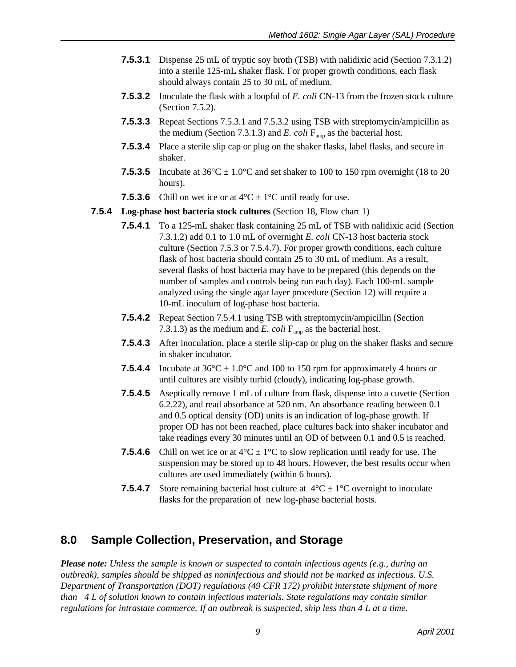- <span id="page-16-0"></span>**7.5.3.1** Dispense 25 mL of tryptic soy broth (TSB) with nalidixic acid (Section 7.3.1.2) into a sterile 125-mL shaker flask. For proper growth conditions, each flask should always contain 25 to 30 mL of medium.
- **7.5.3.2** Inoculate the flask with a loopful of *E. coli* CN-13 from the frozen stock culture (Section 7.5.2).
- **7.5.3.3** Repeat Sections 7.5.3.1 and 7.5.3.2 using TSB with streptomycin/ampicillin as the medium (Section 7.3.1.3) and  $E$ . *coli*  $F_{\text{amp}}$  as the bacterial host.
- **7.5.3.4** Place a sterile slip cap or plug on the shaker flasks, label flasks, and secure in shaker.
- **7.5.3.5** Incubate at  $36^{\circ}\text{C} \pm 1.0^{\circ}\text{C}$  and set shaker to 100 to 150 rpm overnight (18 to 20) hours).
- **7.5.3.6** Chill on wet ice or at  $4^{\circ}C \pm 1^{\circ}C$  until ready for use.
- **7.5.4 Log-phase host bacteria stock cultures** (Section 18, Flow chart 1)
	- **7.5.4.1** To a 125-mL shaker flask containing 25 mL of TSB with nalidixic acid (Section 7.3.1.2) add 0.1 to 1.0 mL of overnight *E. coli* CN-13 host bacteria stock culture (Section 7.5.3 or 7.5.4.7). For proper growth conditions, each culture flask of host bacteria should contain 25 to 30 mL of medium. As a result, several flasks of host bacteria may have to be prepared (this depends on the number of samples and controls being run each day). Each 100-mL sample analyzed using the single agar layer procedure (Section 12) will require a 10-mL inoculum of log-phase host bacteria.
	- **7.5.4.2** Repeat Section 7.5.4.1 using TSB with streptomycin/ampicillin (Section 7.3.1.3) as the medium and *E. coli*  $F_{\text{amp}}$  as the bacterial host.
	- **7.5.4.3** After inoculation, place a sterile slip-cap or plug on the shaker flasks and secure in shaker incubator.
	- **7.5.4.4** Incubate at  $36^{\circ}\text{C} \pm 1.0^{\circ}\text{C}$  and 100 to 150 rpm for approximately 4 hours or until cultures are visibly turbid (cloudy), indicating log-phase growth.
	- **7.5.4.5** Aseptically remove 1 mL of culture from flask, dispense into a cuvette (Section 6.2.22), and read absorbance at 520 nm. An absorbance reading between 0.1 and 0.5 optical density (OD) units is an indication of log-phase growth. If proper OD has not been reached, place cultures back into shaker incubator and take readings every 30 minutes until an OD of between 0.1 and 0.5 is reached.
	- **7.5.4.6** Chill on wet ice or at  $4^{\circ}C \pm 1^{\circ}C$  to slow replication until ready for use. The suspension may be stored up to 48 hours. However, the best results occur when cultures are used immediately (within 6 hours).
	- **7.5.4.7** Store remaining bacterial host culture at  $4^{\circ}C \pm 1^{\circ}C$  overnight to inoculate flasks for the preparation of new log-phase bacterial hosts.

### **8.0 Sample Collection, Preservation, and Storage**

*Please note: Unless the sample is known or suspected to contain infectious agents (e.g., during an outbreak), samples should be shipped as noninfectious and should not be marked as infectious. U.S. Department of Transportation (DOT) regulations (49 CFR 172) prohibit interstate shipment of more than 4 L of solution known to contain infectious materials. State regulations may contain similar regulations for intrastate commerce. If an outbreak is suspected, ship less than 4 L at a time.*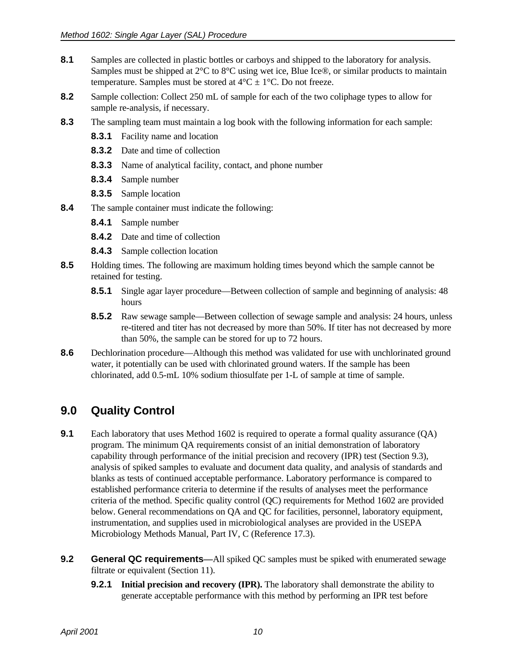- <span id="page-17-0"></span>**8.1** Samples are collected in plastic bottles or carboys and shipped to the laboratory for analysis. Samples must be shipped at 2°C to 8°C using wet ice, Blue Ice*®*, or similar products to maintain temperature. Samples must be stored at  $4^{\circ}C \pm 1^{\circ}C$ . Do not freeze.
- **8.2** Sample collection: Collect 250 mL of sample for each of the two coliphage types to allow for sample re-analysis, if necessary.
- **8.3** The sampling team must maintain a log book with the following information for each sample:
	- **8.3.1** Facility name and location
	- **8.3.2** Date and time of collection
	- **8.3.3** Name of analytical facility, contact, and phone number
	- **8.3.4** Sample number
	- **8.3.5** Sample location
- **8.4** The sample container must indicate the following:
	- **8.4.1** Sample number
	- **8.4.2** Date and time of collection
	- **8.4.3** Sample collection location
- **8.5** Holding times. The following are maximum holding times beyond which the sample cannot be retained for testing.
	- **8.5.1** Single agar layer procedure—Between collection of sample and beginning of analysis: 48 hours
	- **8.5.2** Raw sewage sample—Between collection of sewage sample and analysis: 24 hours, unless re-titered and titer has not decreased by more than 50%. If titer has not decreased by more than 50%, the sample can be stored for up to 72 hours.
- **8.6** Dechlorination procedure—Although this method was validated for use with unchlorinated ground water, it potentially can be used with chlorinated ground waters. If the sample has been chlorinated, add 0.5-mL 10% sodium thiosulfate per 1-L of sample at time of sample.

### **9.0 Quality Control**

- **9.1** Each laboratory that uses Method 1602 is required to operate a formal quality assurance (QA) program. The minimum QA requirements consist of an initial demonstration of laboratory capability through performance of the initial precision and recovery (IPR) test (Section 9.3), analysis of spiked samples to evaluate and document data quality, and analysis of standards and blanks as tests of continued acceptable performance. Laboratory performance is compared to established performance criteria to determine if the results of analyses meet the performance criteria of the method. Specific quality control (QC) requirements for Method 1602 are provided below. General recommendations on QA and QC for facilities, personnel, laboratory equipment, instrumentation, and supplies used in microbiological analyses are provided in the USEPA Microbiology Methods Manual, Part IV, C (Reference 17.3).
- **9.2 General QC requirements**—All spiked QC samples must be spiked with enumerated sewage filtrate or equivalent (Section 11).
	- **9.2.1** Initial precision and recovery (IPR). The laboratory shall demonstrate the ability to generate acceptable performance with this method by performing an IPR test before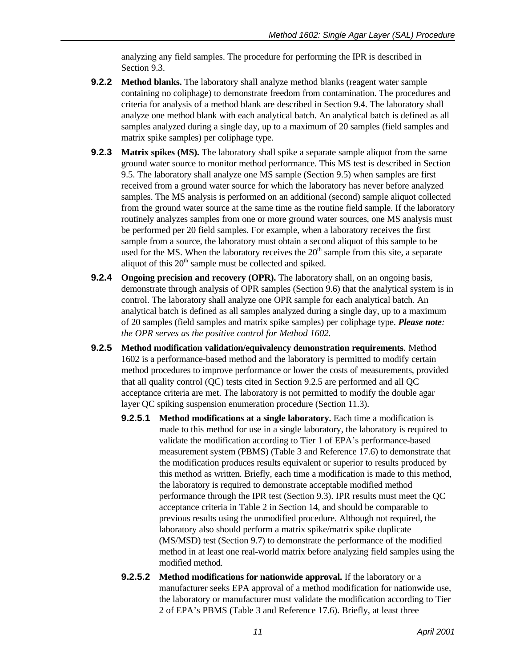analyzing any field samples. The procedure for performing the IPR is described in Section 9.3.

- **9.2.2 Method blanks.** The laboratory shall analyze method blanks (reagent water sample containing no coliphage) to demonstrate freedom from contamination. The procedures and criteria for analysis of a method blank are described in Section 9.4. The laboratory shall analyze one method blank with each analytical batch. An analytical batch is defined as all samples analyzed during a single day, up to a maximum of 20 samples (field samples and matrix spike samples) per coliphage type.
- **9.2.3 Matrix spikes (MS).** The laboratory shall spike a separate sample aliquot from the same ground water source to monitor method performance. This MS test is described in Section 9.5. The laboratory shall analyze one MS sample (Section 9.5) when samples are first received from a ground water source for which the laboratory has never before analyzed samples. The MS analysis is performed on an additional (second) sample aliquot collected from the ground water source at the same time as the routine field sample. If the laboratory routinely analyzes samples from one or more ground water sources, one MS analysis must be performed per 20 field samples. For example, when a laboratory receives the first sample from a source, the laboratory must obtain a second aliquot of this sample to be used for the MS. When the laboratory receives the  $20<sup>th</sup>$  sample from this site, a separate aliquot of this  $20<sup>th</sup>$  sample must be collected and spiked.
- **9.2.4** Ongoing precision and recovery (OPR). The laboratory shall, on an ongoing basis, demonstrate through analysis of OPR samples (Section 9.6) that the analytical system is in control. The laboratory shall analyze one OPR sample for each analytical batch. An analytical batch is defined as all samples analyzed during a single day, up to a maximum of 20 samples (field samples and matrix spike samples) per coliphage type. *Please note: the OPR serves as the positive control for Method 1602.*
- **9.2.5 Method modification validation/equivalency demonstration requirements**. Method 1602 is a performance-based method and the laboratory is permitted to modify certain method procedures to improve performance or lower the costs of measurements, provided that all quality control (QC) tests cited in Section 9.2.5 are performed and all QC acceptance criteria are met. The laboratory is not permitted to modify the double agar layer QC spiking suspension enumeration procedure (Section 11.3).
	- **9.2.5.1** Method modifications at a single laboratory. Each time a modification is made to this method for use in a single laboratory, the laboratory is required to validate the modification according to Tier 1 of EPA's performance-based measurement system (PBMS) (Table 3 and Reference 17.6) to demonstrate that the modification produces results equivalent or superior to results produced by this method as written. Briefly, each time a modification is made to this method, the laboratory is required to demonstrate acceptable modified method performance through the IPR test (Section 9.3). IPR results must meet the QC acceptance criteria in Table 2 in Section 14, and should be comparable to previous results using the unmodified procedure. Although not required, the laboratory also should perform a matrix spike/matrix spike duplicate (MS/MSD) test (Section 9.7) to demonstrate the performance of the modified method in at least one real-world matrix before analyzing field samples using the modified method.
	- **9.2.5.2 Method modifications for nationwide approval.** If the laboratory or a manufacturer seeks EPA approval of a method modification for nationwide use, the laboratory or manufacturer must validate the modification according to Tier 2 of EPA's PBMS (Table 3 and Reference 17.6). Briefly, at least three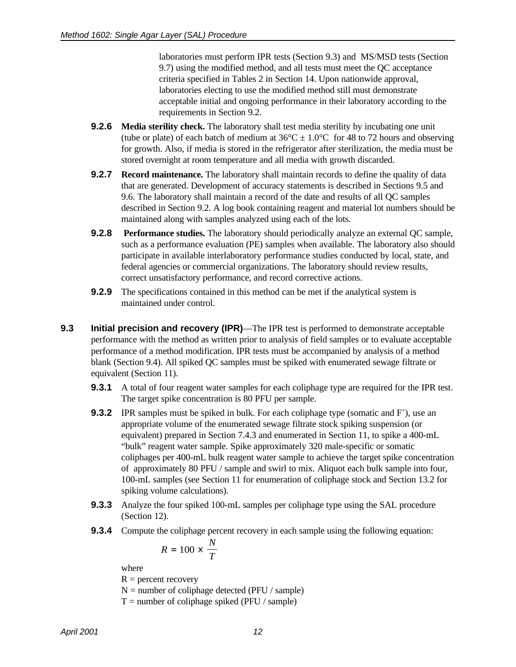laboratories must perform IPR tests (Section 9.3) and MS/MSD tests (Section 9.7) using the modified method, and all tests must meet the QC acceptance criteria specified in Tables 2 in Section 14. Upon nationwide approval, laboratories electing to use the modified method still must demonstrate acceptable initial and ongoing performance in their laboratory according to the requirements in Section 9.2.

- **9.2.6 Media sterility check.** The laboratory shall test media sterility by incubating one unit (tube or plate) of each batch of medium at  $36^{\circ}$ C  $\pm$  1.0°C for 48 to 72 hours and observing for growth. Also, if media is stored in the refrigerator after sterilization, the media must be stored overnight at room temperature and all media with growth discarded.
- **9.2.7 Record maintenance.** The laboratory shall maintain records to define the quality of data that are generated. Development of accuracy statements is described in Sections 9.5 and 9.6. The laboratory shall maintain a record of the date and results of all QC samples described in Section 9.2. A log book containing reagent and material lot numbers should be maintained along with samples analyzed using each of the lots.
- **9.2.8 Performance studies.** The laboratory should periodically analyze an external QC sample, such as a performance evaluation (PE) samples when available. The laboratory also should participate in available interlaboratory performance studies conducted by local, state, and federal agencies or commercial organizations. The laboratory should review results, correct unsatisfactory performance, and record corrective actions.
- **9.2.9** The specifications contained in this method can be met if the analytical system is maintained under control.
- **9.3 Initial precision and recovery (IPR)**—The IPR test is performed to demonstrate acceptable performance with the method as written prior to analysis of field samples or to evaluate acceptable performance of a method modification. IPR tests must be accompanied by analysis of a method blank (Section 9.4). All spiked QC samples must be spiked with enumerated sewage filtrate or equivalent (Section 11).
	- **9.3.1** A total of four reagent water samples for each coliphage type are required for the IPR test. The target spike concentration is 80 PFU per sample.
	- **9.3.2** IPR samples must be spiked in bulk. For each coliphage type (somatic and F<sup>+</sup>), use an appropriate volume of the enumerated sewage filtrate stock spiking suspension (or equivalent) prepared in Section 7.4.3 and enumerated in Section 11, to spike a 400-mL "bulk" reagent water sample. Spike approximately 320 male-specific or somatic coliphages per 400-mL bulk reagent water sample to achieve the target spike concentration of approximately 80 PFU / sample and swirl to mix. Aliquot each bulk sample into four, 100-mL samples (see Section 11 for enumeration of coliphage stock and Section 13.2 for spiking volume calculations).
	- **9.3.3** Analyze the four spiked 100-mL samples per coliphage type using the SAL procedure (Section 12).
	- **9.3.4** Compute the coliphage percent recovery in each sample using the following equation:

$$
R = 100 \times \frac{N}{T}
$$

where

 $R =$  percent recovery

- $N =$  number of coliphage detected (PFU / sample)
- $T =$  number of coliphage spiked (PFU / sample)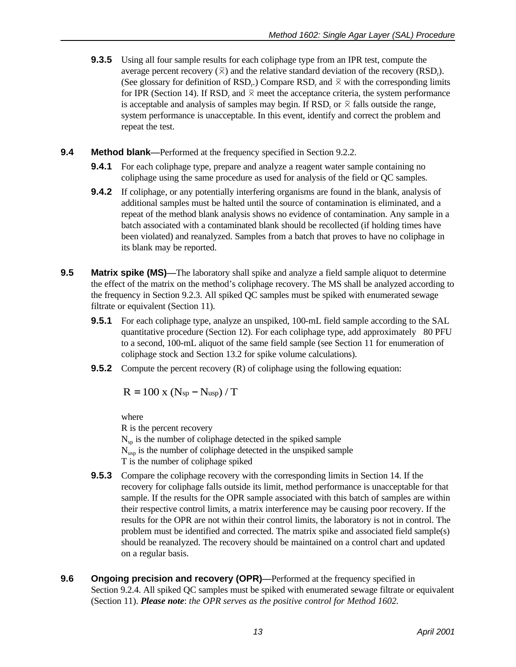- **9.3.5** Using all four sample results for each coliphage type from an IPR test, compute the average percent recovery  $(\overline{\times})$  and the relative standard deviation of the recovery (RSD.). (See glossary for definition of RSD<sub>r</sub>.) Compare RSD<sub>r</sub> and  $\overline{\times}$  with the corresponding limits for IPR (Section 14). If RSD, and  $\overline{\times}$  meet the acceptance criteria, the system performance is acceptable and analysis of samples may begin. If RSD, or  $\overline{\times}$  falls outside the range, system performance is unacceptable. In this event, identify and correct the problem and repeat the test.
- **9.4** Method blank—Performed at the frequency specified in Section 9.2.2.
	- **9.4.1** For each coliphage type, prepare and analyze a reagent water sample containing no coliphage using the same procedure as used for analysis of the field or QC samples.
	- **9.4.2** If coliphage, or any potentially interfering organisms are found in the blank, analysis of additional samples must be halted until the source of contamination is eliminated, and a repeat of the method blank analysis shows no evidence of contamination. Any sample in a batch associated with a contaminated blank should be recollected (if holding times have been violated) and reanalyzed. Samples from a batch that proves to have no coliphage in its blank may be reported.
- **9.5 Matrix spike (MS)—The laboratory shall spike and analyze a field sample aliquot to determine** the effect of the matrix on the method's coliphage recovery. The MS shall be analyzed according to the frequency in Section 9.2.3. All spiked QC samples must be spiked with enumerated sewage filtrate or equivalent (Section 11).
	- **9.5.1** For each coliphage type, analyze an unspiked, 100-mL field sample according to the SAL quantitative procedure (Section 12). For each coliphage type, add approximately 80 PFU to a second, 100-mL aliquot of the same field sample (see Section 11 for enumeration of coliphage stock and Section 13.2 for spike volume calculations).
	- **9.5.2** Compute the percent recovery (R) of coliphage using the following equation:

$$
R = 100 \text{ x } (N_{sp} - N_{usp}) / T
$$

where

R is the percent recovery  $N_{\rm sn}$  is the number of coliphage detected in the spiked sample  $N_{\text{us}}$  is the number of coliphage detected in the unspiked sample T is the number of coliphage spiked

- **9.5.3** Compare the coliphage recovery with the corresponding limits in Section 14. If the recovery for coliphage falls outside its limit, method performance is unacceptable for that sample. If the results for the OPR sample associated with this batch of samples are within their respective control limits, a matrix interference may be causing poor recovery. If the results for the OPR are not within their control limits, the laboratory is not in control. The problem must be identified and corrected. The matrix spike and associated field sample(s) should be reanalyzed. The recovery should be maintained on a control chart and updated on a regular basis.
- **9.6** Ongoing precision and recovery (OPR)—Performed at the frequency specified in Section 9.2.4. All spiked QC samples must be spiked with enumerated sewage filtrate or equivalent (Section 11). *Please note*: *the OPR serves as the positive control for Method 1602.*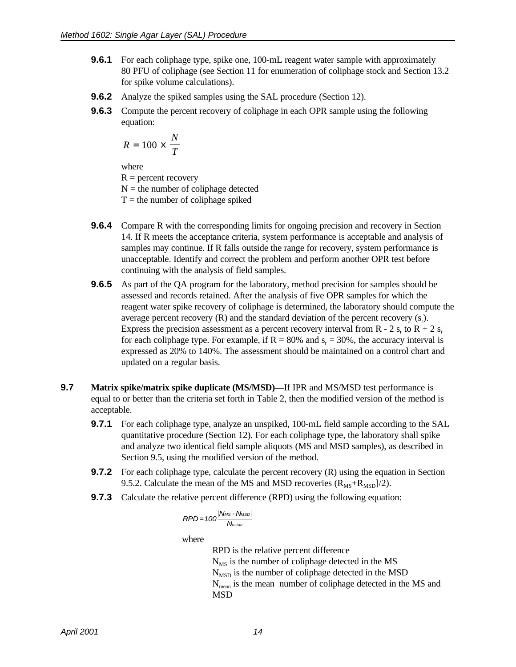- **9.6.1** For each coliphage type, spike one, 100-mL reagent water sample with approximately 80 PFU of coliphage (see Section 11 for enumeration of coliphage stock and Section 13.2 for spike volume calculations).
- **9.6.2** Analyze the spiked samples using the SAL procedure (Section 12).
- **9.6.3** Compute the percent recovery of coliphage in each OPR sample using the following equation:

$$
R = 100 \times \frac{N}{T}
$$

where

 $R =$  percent recovery

 $N =$  the number of coliphage detected

 $T =$  the number of coliphage spiked

- **9.6.4** Compare R with the corresponding limits for ongoing precision and recovery in Section 14. If R meets the acceptance criteria, system performance is acceptable and analysis of samples may continue. If R falls outside the range for recovery, system performance is unacceptable. Identify and correct the problem and perform another OPR test before continuing with the analysis of field samples.
- **9.6.5** As part of the QA program for the laboratory, method precision for samples should be assessed and records retained. After the analysis of five OPR samples for which the reagent water spike recovery of coliphage is determined, the laboratory should compute the average percent recovery  $(R)$  and the standard deviation of the percent recovery  $(s_r)$ . Express the precision assessment as a percent recovery interval from R - 2  $s_r$  to R + 2  $s_r$ for each coliphage type. For example, if  $R = 80\%$  and  $s_r = 30\%$ , the accuracy interval is expressed as 20% to 140%. The assessment should be maintained on a control chart and updated on a regular basis.
- **9.7 Matrix spike/matrix spike duplicate (MS/MSD)—If IPR and MS/MSD test performance is** equal to or better than the criteria set forth in Table 2, then the modified version of the method is acceptable.
	- **9.7.1** For each coliphage type, analyze an unspiked, 100-mL field sample according to the SAL quantitative procedure (Section 12). For each coliphage type, the laboratory shall spike and analyze two identical field sample aliquots (MS and MSD samples), as described in Section 9.5, using the modified version of the method.
	- **9.7.2** For each coliphage type, calculate the percent recovery (R) using the equation in Section 9.5.2. Calculate the mean of the MS and MSD recoveries  $(R_{MS}+R_{MSD})/2$ .
	- **9.7.3** Calculate the relative percent difference (RPD) using the following equation:

$$
RPD = 100 \frac{|N_{MS} - N_{MSD}|}{N_{mean}}
$$

where

RPD is the relative percent difference

 $N<sub>MS</sub>$  is the number of coliphage detected in the MS  $N<sub>MSD</sub>$  is the number of coliphage detected in the MSD  $N_{\text{mean}}$  is the mean number of coliphage detected in the MS and MSD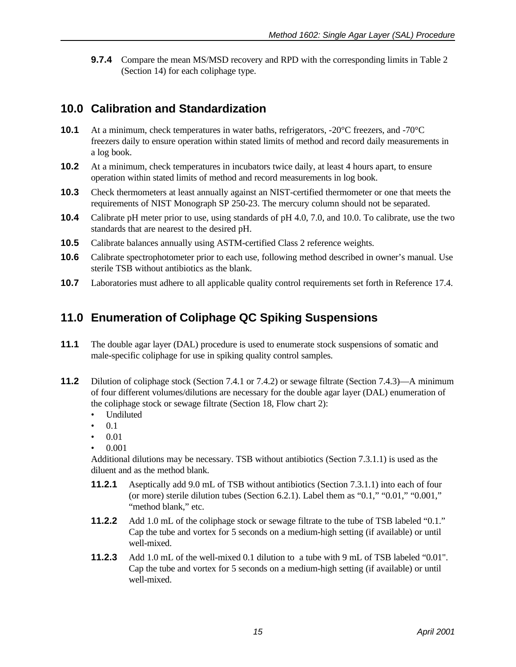<span id="page-22-0"></span>**9.7.4** Compare the mean MS/MSD recovery and RPD with the corresponding limits in Table 2 (Section 14) for each coliphage type.

### **10.0 Calibration and Standardization**

- **10.1** At a minimum, check temperatures in water baths, refrigerators, -20°C freezers, and -70°C freezers daily to ensure operation within stated limits of method and record daily measurements in a log book.
- **10.2** At a minimum, check temperatures in incubators twice daily, at least 4 hours apart, to ensure operation within stated limits of method and record measurements in log book.
- **10.3** Check thermometers at least annually against an NIST-certified thermometer or one that meets the requirements of NIST Monograph SP 250-23. The mercury column should not be separated.
- **10.4** Calibrate pH meter prior to use, using standards of pH 4.0, 7.0, and 10.0. To calibrate, use the two standards that are nearest to the desired pH.
- **10.5** Calibrate balances annually using ASTM-certified Class 2 reference weights.
- **10.6** Calibrate spectrophotometer prior to each use, following method described in owner's manual. Use sterile TSB without antibiotics as the blank.
- **10.7** Laboratories must adhere to all applicable quality control requirements set forth in Reference 17.4.

### **11.0 Enumeration of Coliphage QC Spiking Suspensions**

- **11.1** The double agar layer (DAL) procedure is used to enumerate stock suspensions of somatic and male-specific coliphage for use in spiking quality control samples.
- **11.2** Dilution of coliphage stock (Section 7.4.1 or 7.4.2) or sewage filtrate (Section 7.4.3)—A minimum of four different volumes/dilutions are necessary for the double agar layer (DAL) enumeration of the coliphage stock or sewage filtrate (Section 18, Flow chart 2):
	- Undiluted
	- $\bullet$  0.1
	- 0.01
	- 0.001

Additional dilutions may be necessary. TSB without antibiotics (Section 7.3.1.1) is used as the diluent and as the method blank.

- **11.2.1** Aseptically add 9.0 mL of TSB without antibiotics (Section 7.3.1.1) into each of four (or more) sterile dilution tubes (Section 6.2.1). Label them as "0.1," "0.01," "0.001," "method blank," etc.
- **11.2.2** Add 1.0 mL of the coliphage stock or sewage filtrate to the tube of TSB labeled "0.1." Cap the tube and vortex for 5 seconds on a medium-high setting (if available) or until well-mixed.
- **11.2.3** Add 1.0 mL of the well-mixed 0.1 dilution to a tube with 9 mL of TSB labeled "0.01". Cap the tube and vortex for 5 seconds on a medium-high setting (if available) or until well-mixed.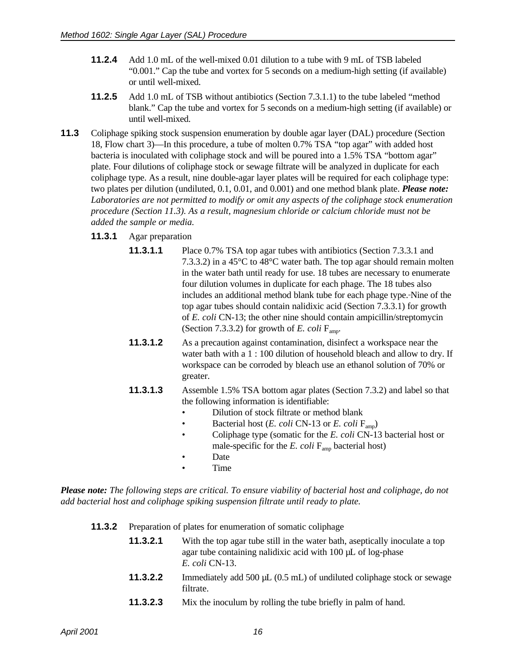- **11.2.4** Add 1.0 mL of the well-mixed 0.01 dilution to a tube with 9 mL of TSB labeled "0.001." Cap the tube and vortex for 5 seconds on a medium-high setting (if available) or until well-mixed.
- **11.2.5** Add 1.0 mL of TSB without antibiotics (Section 7.3.1.1) to the tube labeled "method blank." Cap the tube and vortex for 5 seconds on a medium-high setting (if available) or until well-mixed.
- **11.3** Coliphage spiking stock suspension enumeration by double agar layer (DAL) procedure (Section 18, Flow chart 3)—In this procedure, a tube of molten 0.7% TSA "top agar" with added host bacteria is inoculated with coliphage stock and will be poured into a 1.5% TSA "bottom agar" plate. Four dilutions of coliphage stock or sewage filtrate will be analyzed in duplicate for each coliphage type. As a result, nine double-agar layer plates will be required for each coliphage type: two plates per dilution (undiluted, 0.1, 0.01, and 0.001) and one method blank plate. *Please note: Laboratories are not permitted to modify or omit any aspects of the coliphage stock enumeration procedure (Section 11.3). As a result, magnesium chloride or calcium chloride must not be added the sample or media.* 
	- **11.3.1** Agar preparation
		- **11.3.1.1** Place 0.7% TSA top agar tubes with antibiotics (Section 7.3.3.1 and 7.3.3.2) in a 45°C to 48°C water bath. The top agar should remain molten in the water bath until ready for use. 18 tubes are necessary to enumerate four dilution volumes in duplicate for each phage. The 18 tubes also includes an additional method blank tube for each phage type. Nine of the top agar tubes should contain nalidixic acid (Section 7.3.3.1) for growth of *E. coli* CN-13; the other nine should contain ampicillin/streptomycin (Section 7.3.3.2) for growth of  $E$ . *coli*  $F_{\text{amp}}$ .
		- **11.3.1.2** As a precaution against contamination, disinfect a workspace near the water bath with a 1 : 100 dilution of household bleach and allow to dry. If workspace can be corroded by bleach use an ethanol solution of 70% or greater.
		- **11.3.1.3** Assemble 1.5% TSA bottom agar plates (Section 7.3.2) and label so that the following information is identifiable:
			- Dilution of stock filtrate or method blank
			- Bacterial host  $(E. \text{ coli CN-13 or } E. \text{ coli F}_{\text{amp}})$
			- Coliphage type (somatic for the *E. coli* CN-13 bacterial host or male-specific for the  $E.$  coli  $F_{\text{amp}}$  bacterial host)
				- **Date**
			- Time

*Please note: The following steps are critical. To ensure viability of bacterial host and coliphage, do not add bacterial host and coliphage spiking suspension filtrate until ready to plate.* 

- **11.3.2** Preparation of plates for enumeration of somatic coliphage
	- **11.3.2.1** With the top agar tube still in the water bath, aseptically inoculate a top agar tube containing nalidixic acid with 100 µL of log-phase *E. coli* CN-13.
	- **11.3.2.2** Immediately add 500 µL (0.5 mL) of undiluted coliphage stock or sewage filtrate.
	- **11.3.2.3** Mix the inoculum by rolling the tube briefly in palm of hand.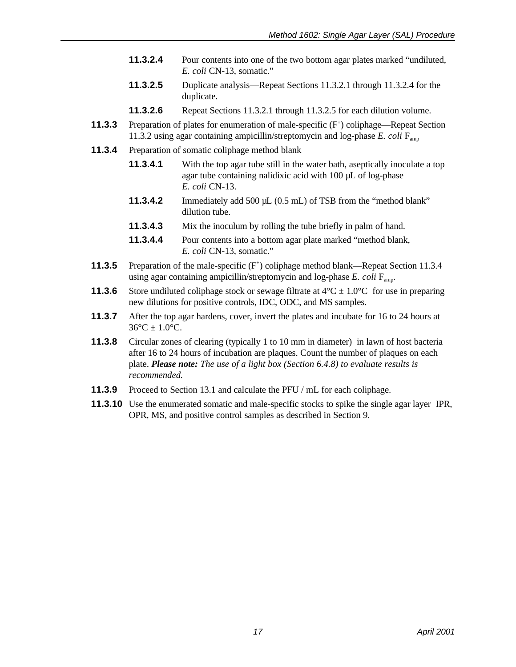- **11.3.2.4** Pour contents into one of the two bottom agar plates marked "undiluted, *E. coli* CN-13, somatic."
- **11.3.2.5** Duplicate analysis—Repeat Sections 11.3.2.1 through 11.3.2.4 for the duplicate.
- **11.3.2.6** Repeat Sections 11.3.2.1 through 11.3.2.5 for each dilution volume.
- **11.3.3** Preparation of plates for enumeration of male-specific (F<sup>+</sup>) coliphage—Repeat Section 11.3.2 using agar containing ampicillin/streptomycin and log-phase *E. coli* Famp
- **11.3.4** Preparation of somatic coliphage method blank
	- **11.3.4.1** With the top agar tube still in the water bath, aseptically inoculate a top agar tube containing nalidixic acid with 100 µL of log-phase *E. coli* CN-13.
	- **11.3.4.2** Immediately add 500 µL (0.5 mL) of TSB from the "method blank" dilution tube.
	- **11.3.4.3** Mix the inoculum by rolling the tube briefly in palm of hand.
	- **11.3.4.4** Pour contents into a bottom agar plate marked "method blank, *E. coli* CN-13, somatic."
- **11.3.5** Preparation of the male-specific (F<sup>+</sup>) coliphage method blank—Repeat Section 11.3.4 using agar containing ampicillin/streptomycin and log-phase  $E$ . *coli*  $F_{\text{amp}}$ .
- **11.3.6** Store undiluted coliphage stock or sewage filtrate at  $4^{\circ}C \pm 1.0^{\circ}C$  for use in preparing new dilutions for positive controls, IDC, ODC, and MS samples.
- **11.3.7** After the top agar hardens, cover, invert the plates and incubate for 16 to 24 hours at  $36^{\circ}C \pm 1.0^{\circ}C$ .
- **11.3.8** Circular zones of clearing (typically 1 to 10 mm in diameter) in lawn of host bacteria after 16 to 24 hours of incubation are plaques. Count the number of plaques on each plate. *Please note: The use of a light box (Section 6.4.8) to evaluate results is recommended.*
- **11.3.9** Proceed to Section 13.1 and calculate the PFU / mL for each coliphage.
- **11.3.10** Use the enumerated somatic and male-specific stocks to spike the single agar layer IPR, OPR, MS, and positive control samples as described in Section 9.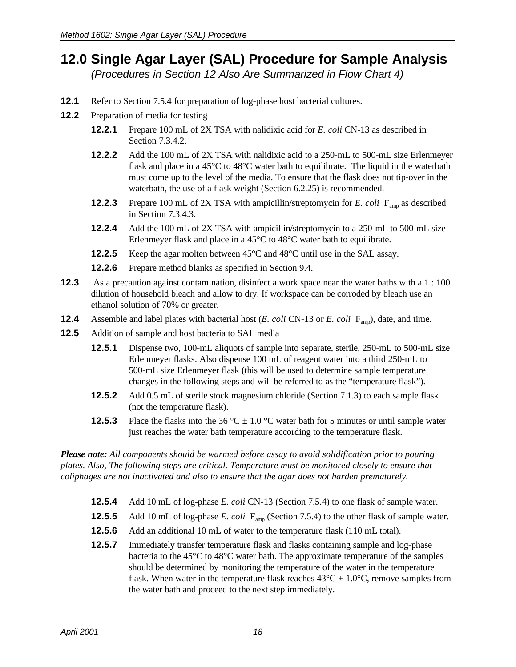## <span id="page-25-0"></span>**12.0 Single Agar Layer (SAL) Procedure for Sample Analysis**

*(Procedures in Section 12 Also Are Summarized in Flow Chart 4)* 

- **12.1** Refer to Section 7.5.4 for preparation of log-phase host bacterial cultures.
- **12.2** Preparation of media for testing
	- **12.2.1** Prepare 100 mL of 2X TSA with nalidixic acid for *E. coli* CN-13 as described in Section 7.3.4.2.
	- **12.2.2** Add the 100 mL of 2X TSA with nalidixic acid to a 250-mL to 500-mL size Erlenmeyer flask and place in a 45°C to 48°C water bath to equilibrate. The liquid in the waterbath must come up to the level of the media. To ensure that the flask does not tip-over in the waterbath, the use of a flask weight (Section 6.2.25) is recommended.
	- **12.2.3** Prepare 100 mL of 2X TSA with ampicillin/streptomycin for *E. coli* F<sub>amp</sub> as described in Section 7.3.4.3.
	- **12.2.4** Add the 100 mL of 2X TSA with ampicillin/streptomycin to a 250-mL to 500-mL size Erlenmeyer flask and place in a 45°C to 48°C water bath to equilibrate.
	- **12.2.5** Keep the agar molten between 45°C and 48°C until use in the SAL assay.
	- **12.2.6** Prepare method blanks as specified in Section 9.4.
- **12.3** As a precaution against contamination, disinfect a work space near the water baths with a 1 : 100 dilution of household bleach and allow to dry. If workspace can be corroded by bleach use an ethanol solution of 70% or greater.
- **12.4** Assemble and label plates with bacterial host (*E. coli* CN-13 or *E. coli* F<sub>amp</sub>), date, and time.
- **12.5** Addition of sample and host bacteria to SAL media
	- **12.5.1** Dispense two, 100-mL aliquots of sample into separate, sterile, 250-mL to 500-mL size Erlenmeyer flasks. Also dispense 100 mL of reagent water into a third 250-mL to 500-mL size Erlenmeyer flask (this will be used to determine sample temperature changes in the following steps and will be referred to as the "temperature flask").
	- **12.5.2** Add 0.5 mL of sterile stock magnesium chloride (Section 7.1.3) to each sample flask (not the temperature flask).
	- **12.5.3** Place the flasks into the 36 °C  $\pm$  1.0 °C water bath for 5 minutes or until sample water just reaches the water bath temperature according to the temperature flask.

*Please note: All components should be warmed before assay to avoid solidification prior to pouring plates. Also, The following steps are critical. Temperature must be monitored closely to ensure that coliphages are not inactivated and also to ensure that the agar does not harden prematurely.* 

- **12.5.4** Add 10 mL of log-phase *E. coli* CN-13 (Section 7.5.4) to one flask of sample water.
- **12.5.5** Add 10 mL of log-phase *E. coli* F<sub>amp</sub> (Section 7.5.4) to the other flask of sample water.
- **12.5.6** Add an additional 10 mL of water to the temperature flask (110 mL total).
- **12.5.7** Immediately transfer temperature flask and flasks containing sample and log-phase bacteria to the 45°C to 48°C water bath. The approximate temperature of the samples should be determined by monitoring the temperature of the water in the temperature flask. When water in the temperature flask reaches  $43^{\circ}C \pm 1.0^{\circ}C$ , remove samples from the water bath and proceed to the next step immediately.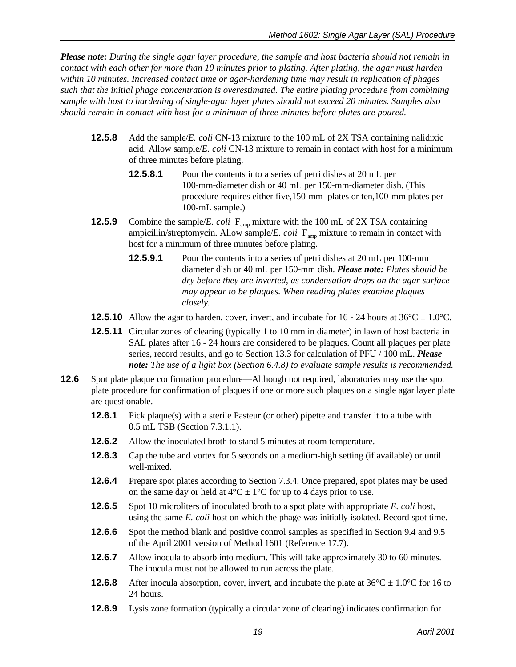*Please note: During the single agar layer procedure, the sample and host bacteria should not remain in contact with each other for more than 10 minutes prior to plating. After plating, the agar must harden within 10 minutes. Increased contact time or agar-hardening time may result in replication of phages such that the initial phage concentration is overestimated. The entire plating procedure from combining sample with host to hardening of single-agar layer plates should not exceed 20 minutes. Samples also should remain in contact with host for a minimum of three minutes before plates are poured.* 

- **12.5.8** Add the sample/*E. coli* CN-13 mixture to the 100 mL of 2X TSA containing nalidixic acid. Allow sample/*E. coli* CN-13 mixture to remain in contact with host for a minimum of three minutes before plating.
	- **12.5.8.1** Pour the contents into a series of petri dishes at 20 mL per 100-mm-diameter dish or 40 mL per 150-mm-diameter dish. (This procedure requires either five,150-mm plates or ten,100-mm plates per 100-mL sample.)
- **12.5.9** Combine the sample/*E. coli* F<sub>amp</sub> mixture with the 100 mL of 2X TSA containing ampicillin/streptomycin. Allow sample/ $E$ . *coli*  $F_{amp}$  mixture to remain in contact with host for a minimum of three minutes before plating.
	- **12.5.9.1** Pour the contents into a series of petri dishes at 20 mL per 100-mm diameter dish or 40 mL per 150-mm dish. *Please note: Plates should be dry before they are inverted, as condensation drops on the agar surface may appear to be plaques. When reading plates examine plaques closely.*
- **12.5.10** Allow the agar to harden, cover, invert, and incubate for 16 24 hours at  $36^{\circ}\text{C} \pm 1.0^{\circ}\text{C}$ .
- **12.5.11** Circular zones of clearing (typically 1 to 10 mm in diameter) in lawn of host bacteria in SAL plates after 16 - 24 hours are considered to be plaques. Count all plaques per plate series, record results, and go to Section 13.3 for calculation of PFU / 100 mL. *Please note: The use of a light box (Section 6.4.8) to evaluate sample results is recommended.*
- **12.6** Spot plate plaque confirmation procedure—Although not required, laboratories may use the spot plate procedure for confirmation of plaques if one or more such plaques on a single agar layer plate are questionable.
	- **12.6.1** Pick plaque(s) with a sterile Pasteur (or other) pipette and transfer it to a tube with 0.5 mL TSB (Section 7.3.1.1).
	- **12.6.2** Allow the inoculated broth to stand 5 minutes at room temperature.
	- **12.6.3** Cap the tube and vortex for 5 seconds on a medium-high setting (if available) or until well-mixed.
	- **12.6.4** Prepare spot plates according to Section 7.3.4. Once prepared, spot plates may be used on the same day or held at  $4^{\circ}C \pm 1^{\circ}C$  for up to 4 days prior to use.
	- **12.6.5** Spot 10 microliters of inoculated broth to a spot plate with appropriate *E. coli* host, using the same *E. coli* host on which the phage was initially isolated. Record spot time.
	- **12.6.6** Spot the method blank and positive control samples as specified in Section 9.4 and 9.5 of the April 2001 version of Method 1601 (Reference 17.7).
	- **12.6.7** Allow inocula to absorb into medium. This will take approximately 30 to 60 minutes. The inocula must not be allowed to run across the plate.
	- **12.6.8** After inocula absorption, cover, invert, and incubate the plate at  $36^{\circ}C \pm 1.0^{\circ}C$  for 16 to 24 hours.
	- **12.6.9** Lysis zone formation (typically a circular zone of clearing) indicates confirmation for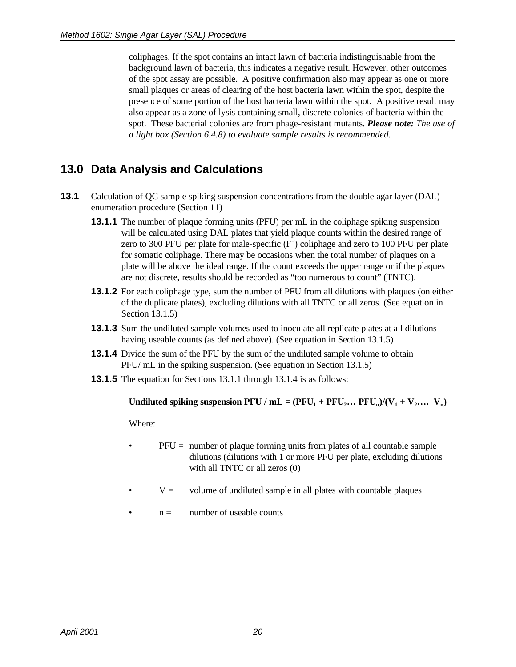<span id="page-27-0"></span>coliphages. If the spot contains an intact lawn of bacteria indistinguishable from the background lawn of bacteria, this indicates a negative result. However, other outcomes of the spot assay are possible. A positive confirmation also may appear as one or more small plaques or areas of clearing of the host bacteria lawn within the spot, despite the presence of some portion of the host bacteria lawn within the spot. A positive result may also appear as a zone of lysis containing small, discrete colonies of bacteria within the spot. These bacterial colonies are from phage-resistant mutants. *Please note: The use of a light box (Section 6.4.8) to evaluate sample results is recommended.* 

### **13.0 Data Analysis and Calculations**

- **13.1** Calculation of QC sample spiking suspension concentrations from the double agar layer (DAL) enumeration procedure (Section 11)
	- **13.1.1** The number of plaque forming units (PFU) per mL in the coliphage spiking suspension will be calculated using DAL plates that yield plaque counts within the desired range of zero to 300 PFU per plate for male-specific  $(F^+)$  coliphage and zero to 100 PFU per plate for somatic coliphage. There may be occasions when the total number of plaques on a plate will be above the ideal range. If the count exceeds the upper range or if the plaques are not discrete, results should be recorded as "too numerous to count" (TNTC).
	- **13.1.2** For each coliphage type, sum the number of PFU from all dilutions with plaques (on either of the duplicate plates), excluding dilutions with all TNTC or all zeros. (See equation in Section 13.1.5)
	- **13.1.3** Sum the undiluted sample volumes used to inoculate all replicate plates at all dilutions having useable counts (as defined above). (See equation in Section 13.1.5)
	- **13.1.4** Divide the sum of the PFU by the sum of the undiluted sample volume to obtain PFU/ mL in the spiking suspension. (See equation in Section 13.1.5)
	- **13.1.5** The equation for Sections 13.1.1 through 13.1.4 is as follows:

#### Undiluted spiking suspension PFU /  $mL = (PFU_1 + PFU_2... PFU_n)/(V_1 + V_2... V_n)$

Where:

- $PFU =$  number of plaque forming units from plates of all countable sample dilutions (dilutions with 1 or more PFU per plate, excluding dilutions with all TNTC or all zeros (0)
- $V =$  volume of undiluted sample in all plates with countable plaques
- $n =$  number of useable counts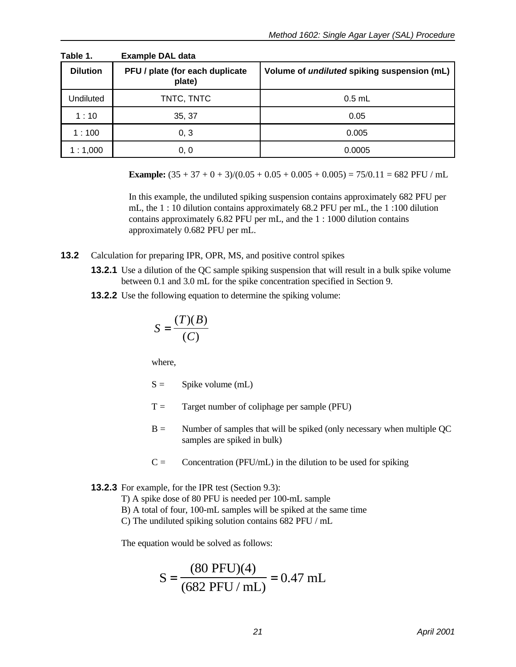| Table 1.        | <b>Example DAL data</b>                   |                                                    |  |
|-----------------|-------------------------------------------|----------------------------------------------------|--|
| <b>Dilution</b> | PFU / plate (for each duplicate<br>plate) | Volume of <i>undiluted</i> spiking suspension (mL) |  |
| Undiluted       | TNTC, TNTC                                | $0.5$ mL                                           |  |
| 1:10            | 35, 37                                    | 0.05                                               |  |
| 1:100           | 0, 3                                      | 0.005                                              |  |
| 1:1,000         | 0, 0                                      | 0.0005                                             |  |

**Example:**  $(35 + 37 + 0 + 3)/(0.05 + 0.05 + 0.005 + 0.005) = 75/0.11 = 682$  PFU / mL

In this example, the undiluted spiking suspension contains approximately 682 PFU per mL, the 1 : 10 dilution contains approximately 68.2 PFU per mL, the 1 :100 dilution contains approximately 6.82 PFU per mL, and the 1 : 1000 dilution contains approximately 0.682 PFU per mL.

- **13.2** Calculation for preparing IPR, OPR, MS, and positive control spikes
	- **13.2.1** Use a dilution of the OC sample spiking suspension that will result in a bulk spike volume between 0.1 and 3.0 mL for the spike concentration specified in Section 9.
	- **13.2.2** Use the following equation to determine the spiking volume:

$$
S = \frac{(T)(B)}{(C)}
$$

where,

 $S =$  Spike volume (mL)

- $T =$  Target number of coliphage per sample (PFU)
- $B =$  Number of samples that will be spiked (only necessary when multiple QC samples are spiked in bulk)
- $C =$  Concentration (PFU/mL) in the dilution to be used for spiking

#### **13.2.3** For example, for the IPR test (Section 9.3):

T) A spike dose of 80 PFU is needed per 100-mL sample

B) A total of four, 100-mL samples will be spiked at the same time

C) The undiluted spiking solution contains 682 PFU / mL

The equation would be solved as follows:

$$
S = \frac{(80 \text{ PFU})(4)}{(682 \text{ PFU} / \text{mL})} = 0.47 \text{ mL}
$$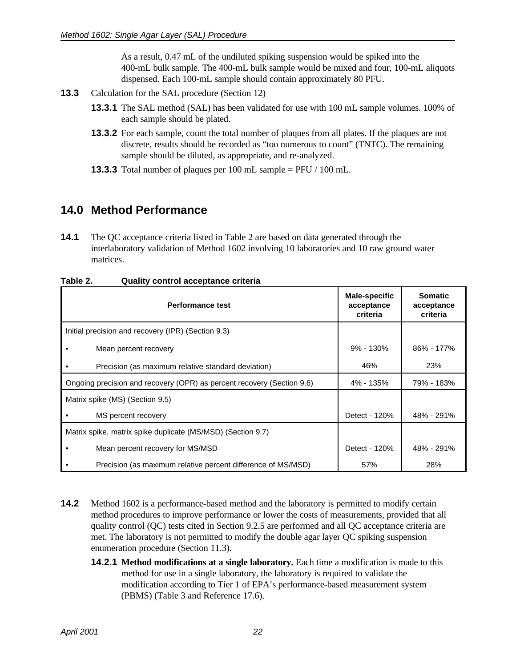As a result, 0.47 mL of the undiluted spiking suspension would be spiked into the 400-mL bulk sample. The 400-mL bulk sample would be mixed and four, 100-mL aliquots dispensed. Each 100-mL sample should contain approximately 80 PFU.

- <span id="page-29-0"></span>**13.3** Calculation for the SAL procedure (Section 12)
	- **13.3.1** The SAL method (SAL) has been validated for use with 100 mL sample volumes. 100% of each sample should be plated.
	- **13.3.2** For each sample, count the total number of plaques from all plates. If the plaques are not discrete, results should be recorded as "too numerous to count" (TNTC). The remaining sample should be diluted, as appropriate, and re-analyzed.
	- **13.3.3** Total number of plaques per 100 mL sample = PFU / 100 mL.

### **14.0 Method Performance**

**14.1** The QC acceptance criteria listed in Table 2 are based on data generated through the interlaboratory validation of Method 1602 involving 10 laboratories and 10 raw ground water matrices.

| <b>Performance test</b>                                                | Male-specific<br>acceptance<br>criteria | <b>Somatic</b><br>acceptance<br>criteria |
|------------------------------------------------------------------------|-----------------------------------------|------------------------------------------|
| Initial precision and recovery (IPR) (Section 9.3)                     |                                         |                                          |
| Mean percent recovery                                                  | $9\% - 130\%$                           | $86\% - 177\%$                           |
| Precision (as maximum relative standard deviation)                     | 46%                                     | 23%                                      |
| Ongoing precision and recovery (OPR) as percent recovery (Section 9.6) | 4% - 135%                               | 79% - 183%                               |
| Matrix spike (MS) (Section 9.5)                                        |                                         |                                          |
| MS percent recovery                                                    | Detect - 120%                           | 48% - 291%                               |
| Matrix spike, matrix spike duplicate (MS/MSD) (Section 9.7)            |                                         |                                          |
| Mean percent recovery for MS/MSD                                       | Detect - 120%                           | 48% - 291%                               |
| Precision (as maximum relative percent difference of MS/MSD)           | 57%                                     | 28%                                      |

#### **Table 2. Quality control acceptance criteria**

- **14.2** Method 1602 is a performance-based method and the laboratory is permitted to modify certain method procedures to improve performance or lower the costs of measurements, provided that all quality control (QC) tests cited in Section 9.2.5 are performed and all QC acceptance criteria are met. The laboratory is not permitted to modify the double agar layer QC spiking suspension enumeration procedure (Section 11.3).
	- **14.2.1 Method modifications at a single laboratory.** Each time a modification is made to this method for use in a single laboratory, the laboratory is required to validate the modification according to Tier 1 of EPA's performance-based measurement system (PBMS) (Table 3 and Reference 17.6).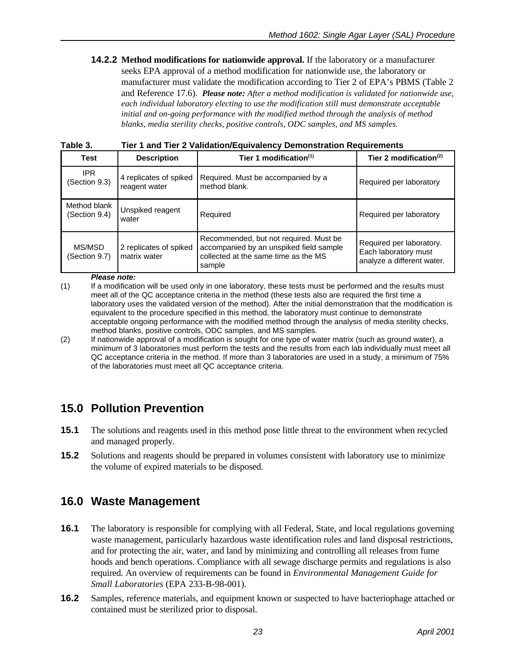<span id="page-30-0"></span>**14.2.2 Method modifications for nationwide approval.** If the laboratory or a manufacturer seeks EPA approval of a method modification for nationwide use, the laboratory or manufacturer must validate the modification according to Tier 2 of EPA's PBMS (Table 2 and Reference 17.6). *Please note: After a method modification is validated for nationwide use, each individual laboratory electing to use the modification still must demonstrate acceptable initial and on-going performance with the modified method through the analysis of method blanks, media sterility checks, positive controls, ODC samples, and MS samples.* 

| rable 3.                      | Tier 1 and Tier 2 validation/Equivalency Demonstration Requirements |                                                                                                                                     |                                                                                |
|-------------------------------|---------------------------------------------------------------------|-------------------------------------------------------------------------------------------------------------------------------------|--------------------------------------------------------------------------------|
| Test                          | <b>Description</b>                                                  | Tier 1 modification <sup>(1)</sup>                                                                                                  | Tier 2 modification $(2)$                                                      |
| IPR.<br>(Section 9.3)         | 4 replicates of spiked<br>reagent water                             | Required. Must be accompanied by a<br>method blank.                                                                                 | Required per laboratory                                                        |
| Method blank<br>(Section 9.4) | Unspiked reagent<br>water                                           | Required                                                                                                                            | Required per laboratory                                                        |
| MS/MSD<br>(Section 9.7)       | 2 replicates of spiked<br>matrix water                              | Recommended, but not required. Must be<br>accompanied by an unspiked field sample<br>collected at the same time as the MS<br>sample | Required per laboratory.<br>Each laboratory must<br>analyze a different water. |

| Table 3. | Tier 1 and Tier 2 Validation/Equivalency Demonstration Requirements |  |  |
|----------|---------------------------------------------------------------------|--|--|
|----------|---------------------------------------------------------------------|--|--|

#### *Please note:*

(1) If a modification will be used only in one laboratory, these tests must be performed and the results must meet all of the QC acceptance criteria in the method (these tests also are required the first time a laboratory uses the validated version of the method). After the initial demonstration that the modification is equivalent to the procedure specified in this method, the laboratory must continue to demonstrate acceptable ongoing performance with the modified method through the analysis of media sterility checks, method blanks, positive controls, ODC samples, and MS samples.

(2) If nationwide approval of a modification is sought for one type of water matrix (such as ground water), a minimum of 3 laboratories must perform the tests and the results from each lab individually must meet all QC acceptance criteria in the method. If more than 3 laboratories are used in a study, a minimum of 75% of the laboratories must meet all QC acceptance criteria.

### **15.0 Pollution Prevention**

- **15.1** The solutions and reagents used in this method pose little threat to the environment when recycled and managed properly.
- **15.2** Solutions and reagents should be prepared in volumes consistent with laboratory use to minimize the volume of expired materials to be disposed.

### **16.0 Waste Management**

- **16.1** The laboratory is responsible for complying with all Federal, State, and local regulations governing waste management, particularly hazardous waste identification rules and land disposal restrictions, and for protecting the air, water, and land by minimizing and controlling all releases from fume hoods and bench operations. Compliance with all sewage discharge permits and regulations is also required. An overview of requirements can be found in *Environmental Management Guide for Small Laboratories* (EPA 233-B-98-001).
- **16.2** Samples, reference materials, and equipment known or suspected to have bacteriophage attached or contained must be sterilized prior to disposal.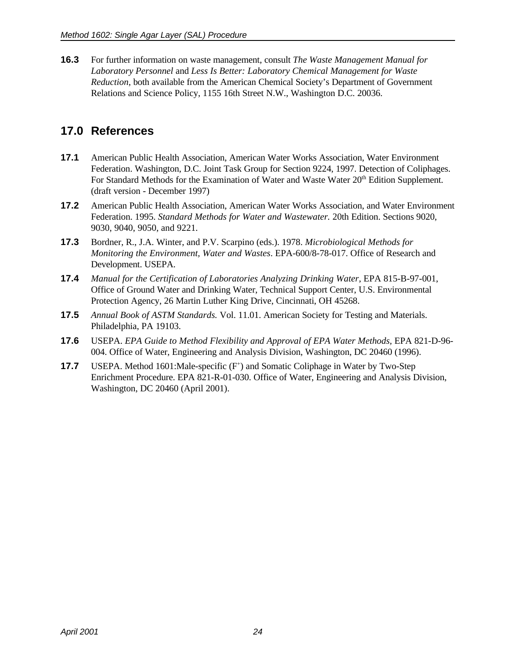<span id="page-31-0"></span>**16.3** For further information on waste management, consult *The Waste Management Manual for Laboratory Personnel* and *Less Is Better: Laboratory Chemical Management for Waste Reduction*, both available from the American Chemical Society's Department of Government Relations and Science Policy, 1155 16th Street N.W., Washington D.C. 20036.

### **17.0 References**

- **17.1** American Public Health Association, American Water Works Association, Water Environment Federation. Washington, D.C. Joint Task Group for Section 9224, 1997. Detection of Coliphages. For Standard Methods for the Examination of Water and Waste Water 20<sup>th</sup> Edition Supplement. (draft version - December 1997)
- **17.2** American Public Health Association, American Water Works Association, and Water Environment Federation. 1995. *Standard Methods for Water and Wastewater.* 20th Edition. Sections 9020, 9030, 9040, 9050, and 9221.
- **17.3** Bordner, R., J.A. Winter, and P.V. Scarpino (eds.). 1978. *Microbiological Methods for Monitoring the Environment, Water and Wastes*. EPA-600/8-78-017. Office of Research and Development. USEPA.
- **17.4** *Manual for the Certification of Laboratories Analyzing Drinking Water*, EPA 815-B-97-001, Office of Ground Water and Drinking Water, Technical Support Center, U.S. Environmental Protection Agency, 26 Martin Luther King Drive, Cincinnati, OH 45268.
- **17.5** *Annual Book of ASTM Standards.* Vol. 11.01. American Society for Testing and Materials. Philadelphia, PA 19103.
- **17.6** USEPA. *EPA Guide to Method Flexibility and Approval of EPA Water Methods,* EPA 821-D-96 004. Office of Water, Engineering and Analysis Division, Washington, DC 20460 (1996).
- **17.7** USEPA. Method 1601: Male-specific (F<sup>+</sup>) and Somatic Coliphage in Water by Two-Step Enrichment Procedure. EPA 821-R-01-030. Office of Water, Engineering and Analysis Division, Washington, DC 20460 (April 2001).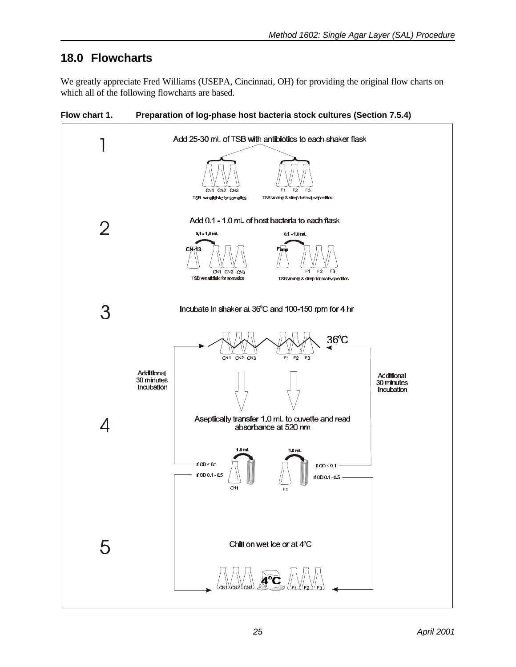### <span id="page-32-0"></span>**18.0 Flowcharts**

We greatly appreciate Fred Williams (USEPA, Cincinnati, OH) for providing the original flow charts on which all of the following flowcharts are based.

**Flow chart 1. Preparation of log-phase host bacteria stock cultures (Section 7.5.4)** 

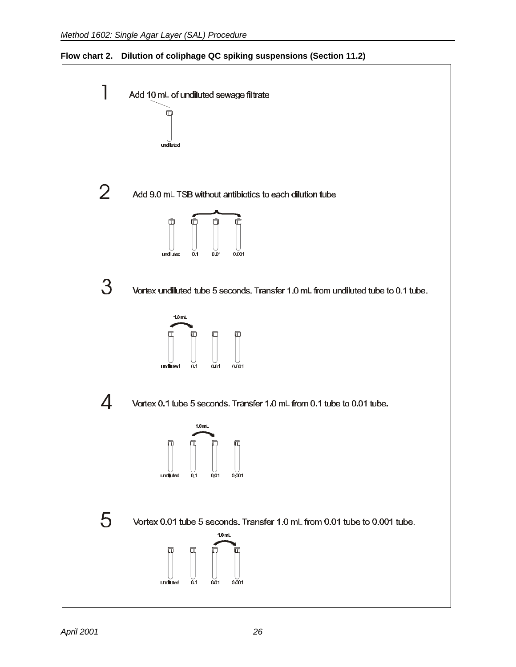

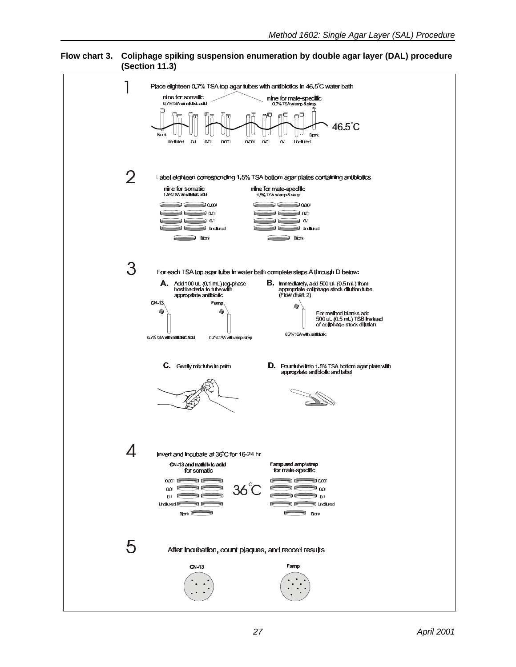#### **Flow chart 3. Coliphage spiking suspension enumeration by double agar layer (DAL) procedure (Section 11.3)**

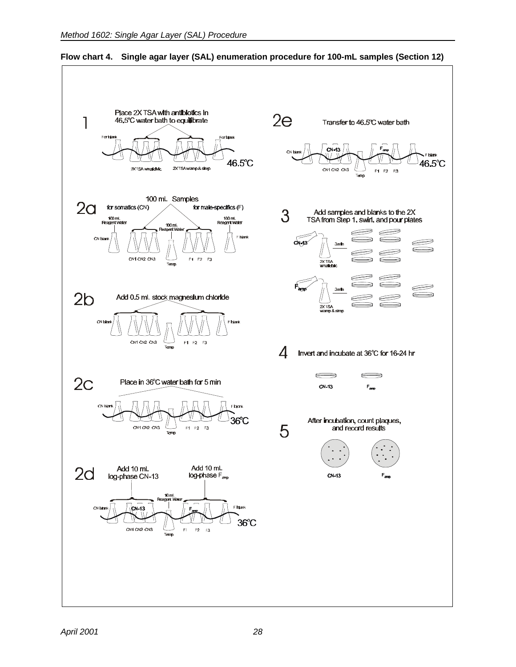

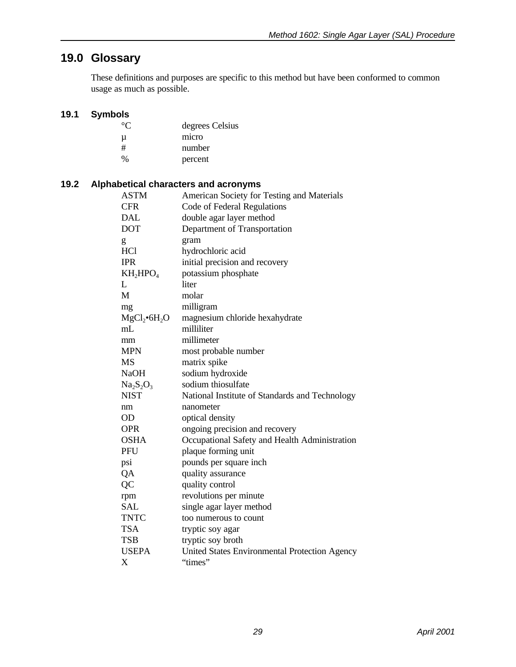## <span id="page-36-0"></span>**19.0 Glossary**

These definitions and purposes are specific to this method but have been conformed to common usage as much as possible.

#### **19.1 Symbols**

| $^{\circ}$ ( $^{\circ}$ | degrees Celsius |
|-------------------------|-----------------|
| u                       | micro           |
| #                       | number          |
| $\%$                    | percent         |

#### **19.2 Alphabetical characters and acronyms**

| <b>ASTM</b>                          | American Society for Testing and Materials     |
|--------------------------------------|------------------------------------------------|
| <b>CFR</b>                           | Code of Federal Regulations                    |
| <b>DAL</b>                           | double agar layer method                       |
| <b>DOT</b>                           | Department of Transportation                   |
| g                                    | gram                                           |
| <b>HCl</b>                           | hydrochloric acid                              |
| <b>IPR</b>                           | initial precision and recovery                 |
| KH <sub>2</sub> HPO <sub>4</sub>     | potassium phosphate                            |
| L                                    | liter                                          |
| M                                    | molar                                          |
| mg                                   | milligram                                      |
| MgCl <sub>2</sub> •6H <sub>2</sub> O | magnesium chloride hexahydrate                 |
| mL                                   | milliliter                                     |
| mm                                   | millimeter                                     |
| <b>MPN</b>                           | most probable number                           |
| <b>MS</b>                            | matrix spike                                   |
| <b>NaOH</b>                          | sodium hydroxide                               |
| $Na2S2O3$                            | sodium thiosulfate                             |
| <b>NIST</b>                          | National Institute of Standards and Technology |
| nm                                   | nanometer                                      |
| OD                                   | optical density                                |
| <b>OPR</b>                           | ongoing precision and recovery                 |
| <b>OSHA</b>                          | Occupational Safety and Health Administration  |
| PFU                                  | plaque forming unit                            |
| psi                                  | pounds per square inch                         |
| QA                                   | quality assurance                              |
| QC                                   | quality control                                |
| rpm                                  | revolutions per minute                         |
| <b>SAL</b>                           | single agar layer method                       |
| <b>TNTC</b>                          | too numerous to count                          |
| TSA                                  | tryptic soy agar                               |
| <b>TSB</b>                           | tryptic soy broth                              |
| <b>USEPA</b>                         | United States Environmental Protection Agency  |
| X                                    | "times"                                        |